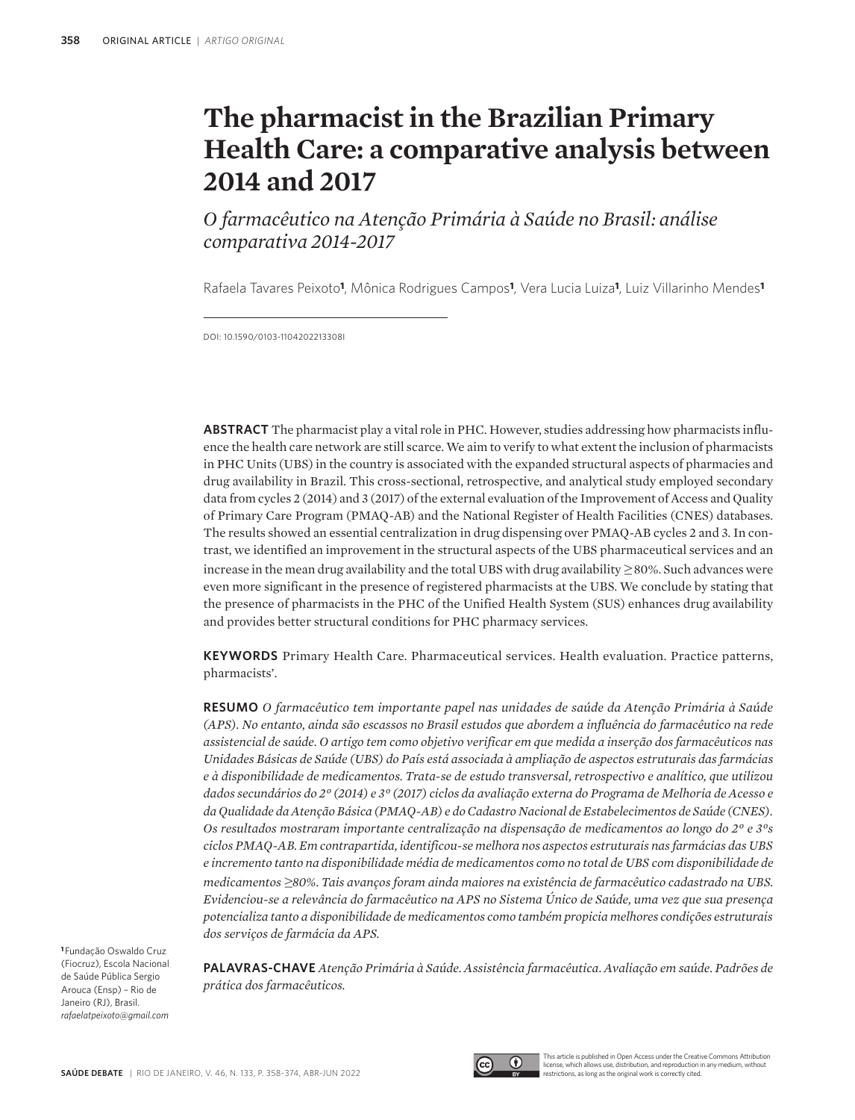# **The pharmacist in the Brazilian Primary Health Care: a comparative analysis between 2014 and 2017**

*O farmacêutico na Atenção Primária à Saúde no Brasil: análise comparativa 2014-2017*

Rafaela Tavares Peixoto**1**, Mônica Rodrigues Campos**1**, Vera Lucia Luiza**1**, Luiz Villarinho Mendes**<sup>1</sup>**

DOI: 10.1590/0103-1104202213308i

**ABSTRACT** The pharmacist play a vital role in PHC. However, studies addressing how pharmacists influence the health care network are still scarce. We aim to verify to what extent the inclusion of pharmacists in PHC Units (UBS) in the country is associated with the expanded structural aspects of pharmacies and drug availability in Brazil. This cross-sectional, retrospective, and analytical study employed secondary data from cycles 2 (2014) and 3 (2017) of the external evaluation of the Improvement of Access and Quality of Primary Care Program (PMAQ-AB) and the National Register of Health Facilities (CNES) databases. The results showed an essential centralization in drug dispensing over PMAQ-AB cycles 2 and 3. In contrast, we identified an improvement in the structural aspects of the UBS pharmaceutical services and an increase in the mean drug availability and the total UBS with drug availability *≥* 80%. Such advances were even more significant in the presence of registered pharmacists at the UBS. We conclude by stating that the presence of pharmacists in the PHC of the Unified Health System (SUS) enhances drug availability and provides better structural conditions for PHC pharmacy services.

**KEYWORDS** Primary Health Care. Pharmaceutical services. Health evaluation. Practice patterns, pharmacists'.

**RESUMO** *O farmacêutico tem importante papel nas unidades de saúde da Atenção Primária à Saúde (APS). No entanto, ainda são escassos no Brasil estudos que abordem a influência do farmacêutico na rede assistencial de saúde. O artigo tem como objetivo verificar em que medida a inserção dos farmacêuticos nas Unidades Básicas de Saúde (UBS) do País está associada à ampliação de aspectos estruturais das farmácias e à disponibilidade de medicamentos. Trata-se de estudo transversal, retrospectivo e analítico, que utilizou dados secundários do 2º (2014) e 3º (2017) ciclos da avaliação externa do Programa de Melhoria de Acesso e da Qualidade da Atenção Básica (PMAQ-AB) e do Cadastro Nacional de Estabelecimentos de Saúde (CNES). Os resultados mostraram importante centralização na dispensação de medicamentos ao longo do 2º e 3ºs ciclos PMAQ-AB. Em contrapartida, identificou-se melhora nos aspectos estruturais nas farmácias das UBS e incremento tanto na disponibilidade média de medicamentos como no total de UBS com disponibilidade de medicamentos* ≥*80%. Tais avanços foram ainda maiores na existência de farmacêutico cadastrado na UBS. Evidenciou-se a relevância do farmacêutico na APS no Sistema Único de Saúde, uma vez que sua presença potencializa tanto a disponibilidade de medicamentos como também propicia melhores condições estruturais dos serviços de farmácia da APS.*

**<sup>1</sup>**Fundação Oswaldo Cruz (Fiocruz), Escola Nacional de Saúde Pública Sergio Arouca (Ensp) – Rio de Janeiro (RJ), Brasil. *rafaelatpeixoto@gmail.com*

**PALAVRAS-CHAVE** *Atenção Primária à Saúde. Assistência farmacêutica. Avaliação em saúde. Padrões de prática dos farmacêuticos.*



This article is published in Open Access under the Creative Commons Attribution license, which allows use, distribution, and reproduction in any medium, without restrictions, as long as the original work is correctly cited.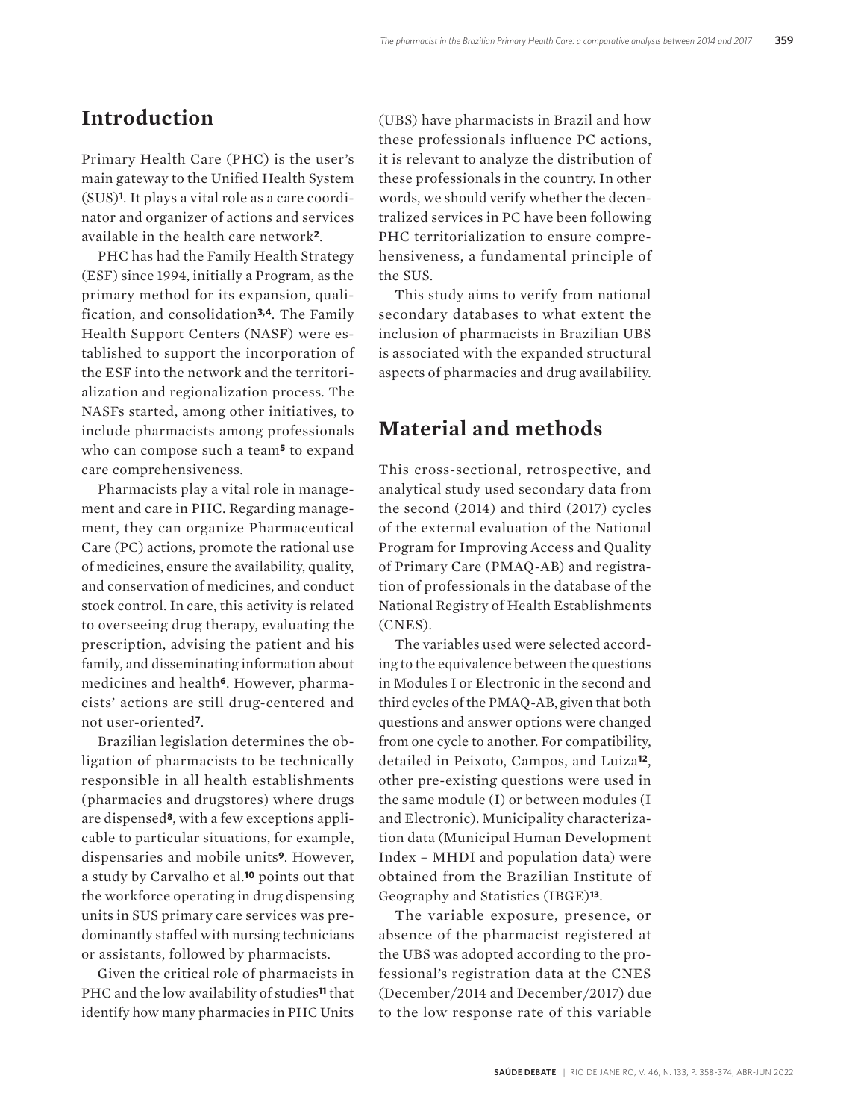#### **Introduction**

Primary Health Care (PHC) is the user's main gateway to the Unified Health System (SUS)**1**. It plays a vital role as a care coordinator and organizer of actions and services available in the health care network**2**.

PHC has had the Family Health Strategy (ESF) since 1994, initially a Program, as the primary method for its expansion, qualification, and consolidation**3,4**. The Family Health Support Centers (NASF) were established to support the incorporation of the ESF into the network and the territorialization and regionalization process. The NASFs started, among other initiatives, to include pharmacists among professionals who can compose such a team**5** to expand care comprehensiveness.

Pharmacists play a vital role in management and care in PHC. Regarding management, they can organize Pharmaceutical Care (PC) actions, promote the rational use of medicines, ensure the availability, quality, and conservation of medicines, and conduct stock control. In care, this activity is related to overseeing drug therapy, evaluating the prescription, advising the patient and his family, and disseminating information about medicines and health**6**. However, pharmacists' actions are still drug-centered and not user-oriented**7**.

Brazilian legislation determines the obligation of pharmacists to be technically responsible in all health establishments (pharmacies and drugstores) where drugs are dispensed**8**, with a few exceptions applicable to particular situations, for example, dispensaries and mobile units**9**. However, a study by Carvalho et al.**10** points out that the workforce operating in drug dispensing units in SUS primary care services was predominantly staffed with nursing technicians or assistants, followed by pharmacists.

Given the critical role of pharmacists in PHC and the low availability of studies**11** that identify how many pharmacies in PHC Units

(UBS) have pharmacists in Brazil and how these professionals influence PC actions, it is relevant to analyze the distribution of these professionals in the country. In other words, we should verify whether the decentralized services in PC have been following PHC territorialization to ensure comprehensiveness, a fundamental principle of the SUS.

This study aims to verify from national secondary databases to what extent the inclusion of pharmacists in Brazilian UBS is associated with the expanded structural aspects of pharmacies and drug availability.

### **Material and methods**

This cross-sectional, retrospective, and analytical study used secondary data from the second (2014) and third (2017) cycles of the external evaluation of the National Program for Improving Access and Quality of Primary Care (PMAQ-AB) and registration of professionals in the database of the National Registry of Health Establishments (CNES).

The variables used were selected according to the equivalence between the questions in Modules I or Electronic in the second and third cycles of the PMAQ-AB, given that both questions and answer options were changed from one cycle to another. For compatibility, detailed in Peixoto, Campos, and Luiza**12**, other pre-existing questions were used in the same module (I) or between modules (I and Electronic). Municipality characterization data (Municipal Human Development Index – MHDI and population data) were obtained from the Brazilian Institute of Geography and Statistics (IBGE)**13**.

The variable exposure, presence, or absence of the pharmacist registered at the UBS was adopted according to the professional's registration data at the CNES (December/2014 and December/2017) due to the low response rate of this variable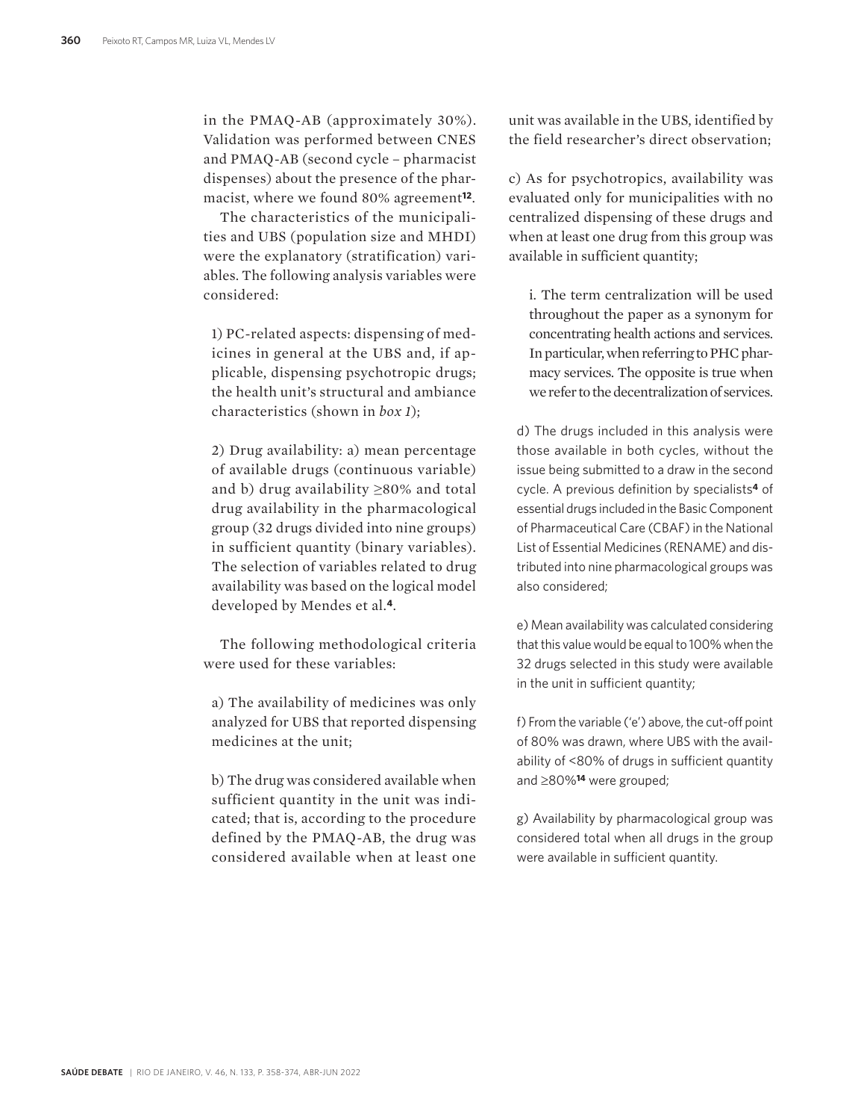in the PMAQ-AB (approximately 30%). Validation was performed between CNES and PMAQ-AB (second cycle – pharmacist dispenses) about the presence of the pharmacist, where we found 80% agreement**12**.

The characteristics of the municipalities and UBS (population size and MHDI) were the explanatory (stratification) variables. The following analysis variables were considered:

1) PC-related aspects: dispensing of medicines in general at the UBS and, if applicable, dispensing psychotropic drugs; the health unit's structural and ambiance characteristics (shown in *box 1*);

2) Drug availability: a) mean percentage of available drugs (continuous variable) and b) drug availability ≥80% and total drug availability in the pharmacological group (32 drugs divided into nine groups) in sufficient quantity (binary variables). The selection of variables related to drug availability was based on the logical model developed by Mendes et al.**4**.

The following methodological criteria were used for these variables:

a) The availability of medicines was only analyzed for UBS that reported dispensing medicines at the unit;

b) The drug was considered available when sufficient quantity in the unit was indicated; that is, according to the procedure defined by the PMAQ-AB, the drug was considered available when at least one

unit was available in the UBS, identified by the field researcher's direct observation;

c) As for psychotropics, availability was evaluated only for municipalities with no centralized dispensing of these drugs and when at least one drug from this group was available in sufficient quantity;

i. The term centralization will be used throughout the paper as a synonym for concentrating health actions and services. In particular, when referring to PHC pharmacy services. The opposite is true when we refer to the decentralization of services.

d) The drugs included in this analysis were those available in both cycles, without the issue being submitted to a draw in the second cycle. A previous definition by specialists**4** of essential drugs included in the Basic Component of Pharmaceutical Care (CBAF) in the National List of Essential Medicines (RENAME) and distributed into nine pharmacological groups was also considered;

e) Mean availability was calculated considering that this value would be equal to 100% when the 32 drugs selected in this study were available in the unit in sufficient quantity;

f) From the variable ('e') above, the cut-off point of 80% was drawn, where UBS with the availability of <80% of drugs in sufficient quantity and ≥80%**14** were grouped;

g) Availability by pharmacological group was considered total when all drugs in the group were available in sufficient quantity.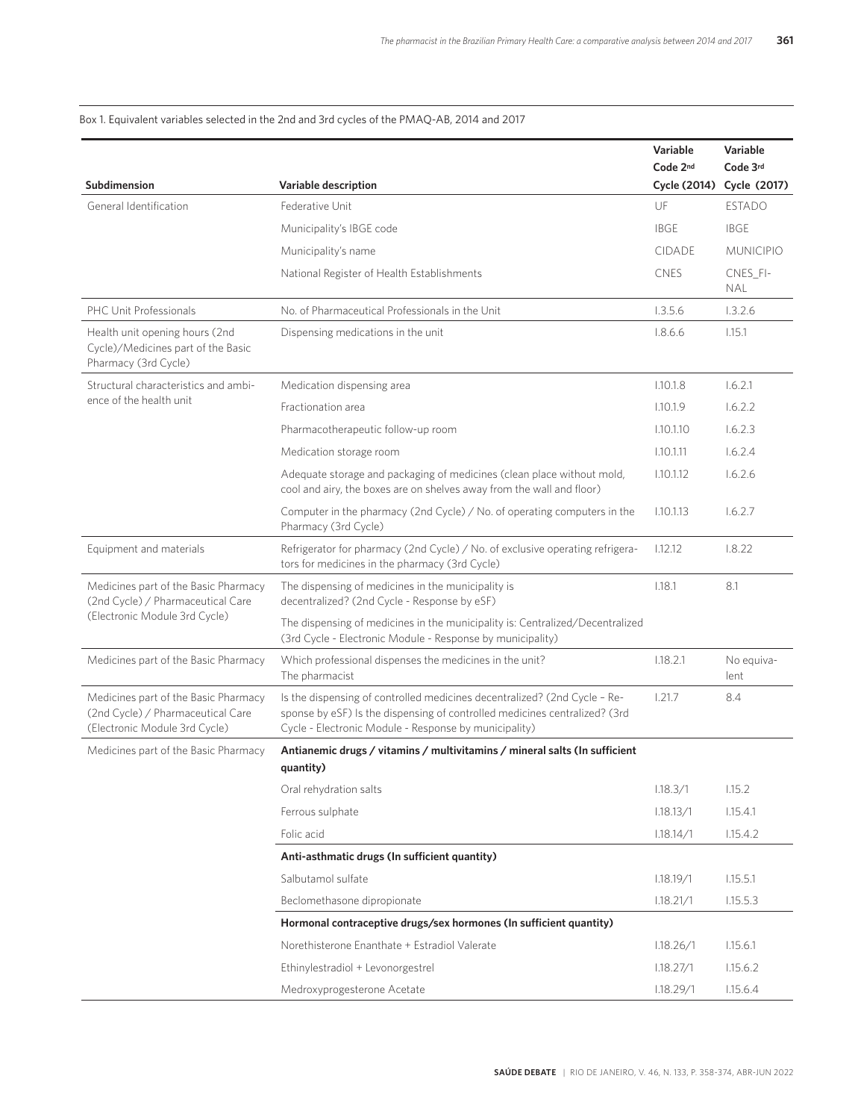#### Box 1. Equivalent variables selected in the 2nd and 3rd cycles of the PMAQ-AB, 2014 and 2017

|                                                                                                            |                                                                                                                                                                                                                  | Variable<br>Code 2nd | Variable<br>Code 3rd      |
|------------------------------------------------------------------------------------------------------------|------------------------------------------------------------------------------------------------------------------------------------------------------------------------------------------------------------------|----------------------|---------------------------|
| Subdimension                                                                                               | Variable description                                                                                                                                                                                             |                      | Cycle (2014) Cycle (2017) |
| General Identification                                                                                     | Federative Unit                                                                                                                                                                                                  | UF                   | <b>ESTADO</b>             |
|                                                                                                            | Municipality's IBGE code                                                                                                                                                                                         | <b>IBGE</b>          | <b>IBGE</b>               |
|                                                                                                            | Municipality's name                                                                                                                                                                                              | <b>CIDADE</b>        | <b>MUNICIPIO</b>          |
|                                                                                                            | National Register of Health Establishments                                                                                                                                                                       | <b>CNES</b>          | CNES_FI-<br><b>NAL</b>    |
| PHC Unit Professionals                                                                                     | No. of Pharmaceutical Professionals in the Unit                                                                                                                                                                  | 1.3.5.6              | 1.3.2.6                   |
| Health unit opening hours (2nd<br>Cycle)/Medicines part of the Basic<br>Pharmacy (3rd Cycle)               | Dispensing medications in the unit                                                                                                                                                                               | 1.8.6.6              | 1.15.1                    |
| Structural characteristics and ambi-                                                                       | Medication dispensing area                                                                                                                                                                                       | 1.10.1.8             | 1.6.2.1                   |
| ence of the health unit                                                                                    | Fractionation area                                                                                                                                                                                               | 1.10.1.9             | 1.6.2.2                   |
|                                                                                                            | Pharmacotherapeutic follow-up room                                                                                                                                                                               | 1.10.1.10            | 1.6.2.3                   |
|                                                                                                            | Medication storage room                                                                                                                                                                                          | 1.10.1.11            | 1.6.2.4                   |
|                                                                                                            | Adequate storage and packaging of medicines (clean place without mold,<br>cool and airy, the boxes are on shelves away from the wall and floor)                                                                  | 1.10.1.12            | 1.6.2.6                   |
|                                                                                                            | Computer in the pharmacy (2nd Cycle) / No. of operating computers in the<br>Pharmacy (3rd Cycle)                                                                                                                 | 1.10.1.13            | 1.6.2.7                   |
| Equipment and materials                                                                                    | Refrigerator for pharmacy (2nd Cycle) / No. of exclusive operating refrigera-<br>tors for medicines in the pharmacy (3rd Cycle)                                                                                  | 1.12.12              | 1.8.22                    |
| Medicines part of the Basic Pharmacy<br>(2nd Cycle) / Pharmaceutical Care                                  | The dispensing of medicines in the municipality is<br>decentralized? (2nd Cycle - Response by eSF)                                                                                                               | 1.18.1               | 8.1                       |
| (Electronic Module 3rd Cycle)                                                                              | The dispensing of medicines in the municipality is: Centralized/Decentralized<br>(3rd Cycle - Electronic Module - Response by municipality)                                                                      |                      |                           |
| Medicines part of the Basic Pharmacy                                                                       | Which professional dispenses the medicines in the unit?<br>The pharmacist                                                                                                                                        | 1.18.2.1             | No equiva-<br>lent        |
| Medicines part of the Basic Pharmacy<br>(2nd Cycle) / Pharmaceutical Care<br>(Electronic Module 3rd Cycle) | Is the dispensing of controlled medicines decentralized? (2nd Cycle - Re-<br>sponse by eSF) Is the dispensing of controlled medicines centralized? (3rd<br>Cycle - Electronic Module - Response by municipality) | 1.21.7               | 8.4                       |
| Medicines part of the Basic Pharmacy                                                                       | Antianemic drugs / vitamins / multivitamins / mineral salts (In sufficient<br>quantity)                                                                                                                          |                      |                           |
|                                                                                                            | Oral rehydration salts                                                                                                                                                                                           | 1.18.3/1             | 1.15.2                    |
|                                                                                                            | Ferrous sulphate                                                                                                                                                                                                 | 1.18.13/1            | 1.15.4.1                  |
|                                                                                                            | Folic acid                                                                                                                                                                                                       | 1.18.14/1            | 1.15.4.2                  |
|                                                                                                            | Anti-asthmatic drugs (In sufficient quantity)                                                                                                                                                                    |                      |                           |
|                                                                                                            | Salbutamol sulfate                                                                                                                                                                                               | 1.18.19/1            | 1.15.5.1                  |
|                                                                                                            | Beclomethasone dipropionate                                                                                                                                                                                      | 1.18.21/1            | 1.15.5.3                  |
|                                                                                                            | Hormonal contraceptive drugs/sex hormones (In sufficient quantity)                                                                                                                                               |                      |                           |
|                                                                                                            | Norethisterone Enanthate + Estradiol Valerate                                                                                                                                                                    | 1.18.26/1            | 1.15.6.1                  |
|                                                                                                            | Ethinylestradiol + Levonorgestrel                                                                                                                                                                                | 1.18.27/1            | 1.15.6.2                  |
|                                                                                                            | Medroxyprogesterone Acetate                                                                                                                                                                                      | 1.18.29/1            | 1.15.6.4                  |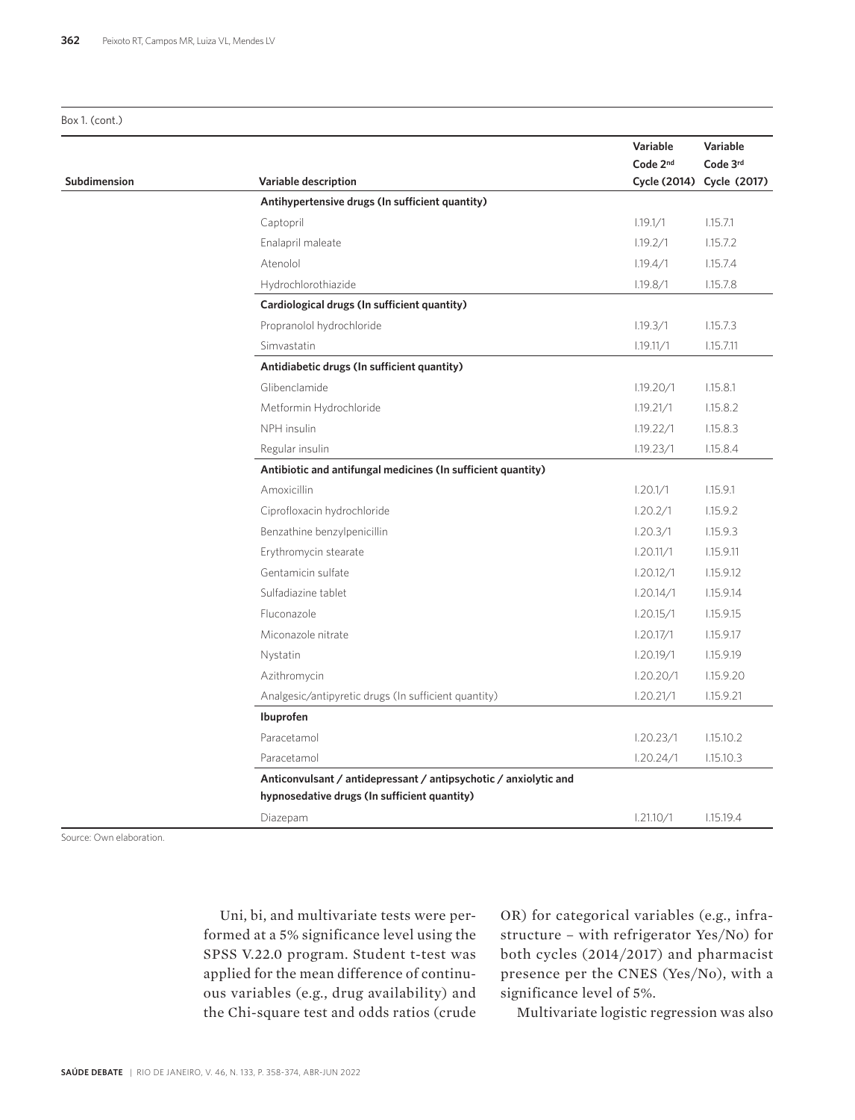Box 1. (cont.)

 $\overline{\phantom{a}}$ 

|              |                                                                  | Variable  | Variable                  |
|--------------|------------------------------------------------------------------|-----------|---------------------------|
|              |                                                                  | Code 2nd  | Code 3rd                  |
| Subdimension | Variable description                                             |           | Cycle (2014) Cycle (2017) |
|              | Antihypertensive drugs (In sufficient quantity)                  |           |                           |
|              | Captopril                                                        | 1.19.1/1  | 1.15.7.1                  |
|              | Enalapril maleate                                                | 1.19.2/1  | 1.15.7.2                  |
|              | Atenolol                                                         | 1.19.4/1  | 1.15.7.4                  |
|              | Hydrochlorothiazide                                              | 1.19.8/1  | 1.15.7.8                  |
|              | Cardiological drugs (In sufficient quantity)                     |           |                           |
|              | Propranolol hydrochloride                                        | 1.19.3/1  | 1.15.7.3                  |
|              | Simvastatin                                                      | 1.19.11/1 | 1.15.7.11                 |
|              | Antidiabetic drugs (In sufficient quantity)                      |           |                           |
|              | Glibenclamide                                                    | 1.19.20/1 | 1.15.8.1                  |
|              | Metformin Hydrochloride                                          | 1.19.21/1 | 1.15.8.2                  |
|              | NPH insulin                                                      | 1.19.22/1 | 1.15.8.3                  |
|              | Regular insulin                                                  | 1.19.23/1 | 1.15.8.4                  |
|              | Antibiotic and antifungal medicines (In sufficient quantity)     |           |                           |
|              | Amoxicillin                                                      | 1.20.1/1  | 1.15.9.1                  |
|              | Ciprofloxacin hydrochloride                                      | 1.20.2/1  | 1.15.9.2                  |
|              | Benzathine benzylpenicillin                                      | 1.20.3/1  | 1.15.9.3                  |
|              | Erythromycin stearate                                            | 1.20.11/1 | 1.15.9.11                 |
|              | Gentamicin sulfate                                               | 1.20.12/1 | 1.15.9.12                 |
|              | Sulfadiazine tablet                                              | 1.20.14/1 | 1.15.9.14                 |
|              | Fluconazole                                                      | 1.20.15/1 | 1.15.9.15                 |
|              | Miconazole nitrate                                               | 1.20.17/1 | 1.15.9.17                 |
|              | Nystatin                                                         | 1.20.19/1 | 1.15.9.19                 |
|              | Azithromycin                                                     | 1.20.20/1 | 1.15.9.20                 |
|              | Analgesic/antipyretic drugs (In sufficient quantity)             | 1.20.21/1 | 1.15.9.21                 |
|              | Ibuprofen                                                        |           |                           |
|              | Paracetamol                                                      | 1.20.23/1 | 1.15.10.2                 |
|              | Paracetamol                                                      | 1.20.24/1 | 1.15.10.3                 |
|              | Anticonvulsant / antidepressant / antipsychotic / anxiolytic and |           |                           |
|              | hypnosedative drugs (In sufficient quantity)                     |           |                           |
|              | Diazepam                                                         | 1.21.10/1 | 1.15.19.4                 |

Source: Own elaboration.

Uni, bi, and multivariate tests were performed at a 5% significance level using the SPSS V.22.0 program. Student t-test was applied for the mean difference of continuous variables (e.g., drug availability) and the Chi-square test and odds ratios (crude OR) for categorical variables (e.g., infrastructure – with refrigerator Yes/No) for both cycles (2014/2017) and pharmacist presence per the CNES (Yes/No), with a significance level of 5%.

Multivariate logistic regression was also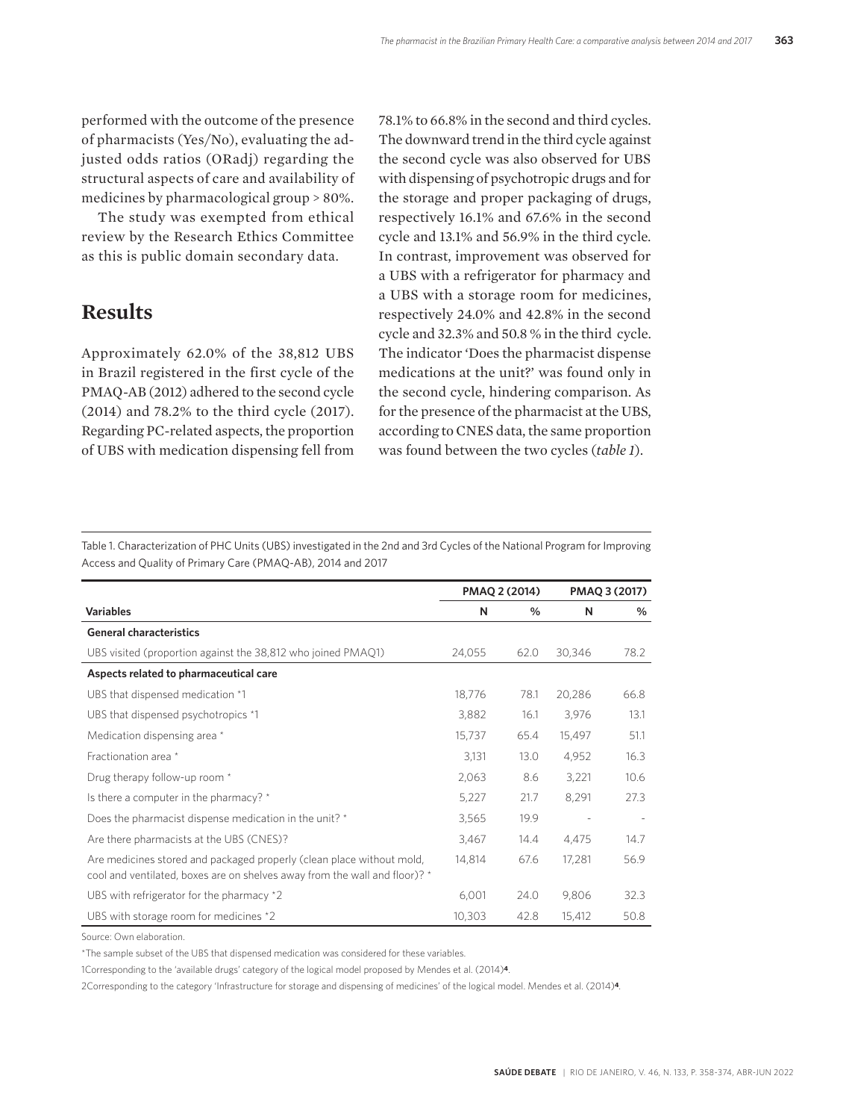performed with the outcome of the presence of pharmacists (Yes/No), evaluating the adjusted odds ratios (ORadj) regarding the structural aspects of care and availability of medicines by pharmacological group > 80%.

The study was exempted from ethical review by the Research Ethics Committee as this is public domain secondary data.

#### **Results**

Approximately 62.0% of the 38,812 UBS in Brazil registered in the first cycle of the PMAQ-AB (2012) adhered to the second cycle (2014) and 78.2% to the third cycle (2017). Regarding PC-related aspects, the proportion of UBS with medication dispensing fell from

78.1% to 66.8% in the second and third cycles. The downward trend in the third cycle against the second cycle was also observed for UBS with dispensing of psychotropic drugs and for the storage and proper packaging of drugs, respectively 16.1% and 67.6% in the second cycle and 13.1% and 56.9% in the third cycle. In contrast, improvement was observed for a UBS with a refrigerator for pharmacy and a UBS with a storage room for medicines, respectively 24.0% and 42.8% in the second cycle and 32.3% and 50.8 % in the third cycle. The indicator 'Does the pharmacist dispense medications at the unit?' was found only in the second cycle, hindering comparison. As for the presence of the pharmacist at the UBS, according to CNES data, the same proportion was found between the two cycles (*table 1*).

Table 1. Characterization of PHC Units (UBS) investigated in the 2nd and 3rd Cycles of the National Program for Improving Access and Quality of Primary Care (PMAQ-AB), 2014 and 2017

|                                                                                                                                                     |        | PMAQ 2 (2014) |        | PMAQ 3 (2017) |
|-----------------------------------------------------------------------------------------------------------------------------------------------------|--------|---------------|--------|---------------|
| <b>Variables</b>                                                                                                                                    | N      | %             | N      | %             |
| <b>General characteristics</b>                                                                                                                      |        |               |        |               |
| UBS visited (proportion against the 38,812 who joined PMAQ1)                                                                                        | 24,055 | 62.0          | 30,346 | 78.2          |
| Aspects related to pharmaceutical care                                                                                                              |        |               |        |               |
| UBS that dispensed medication *1                                                                                                                    | 18,776 | 78.1          | 20,286 | 66.8          |
| UBS that dispensed psychotropics *1                                                                                                                 | 3,882  | 16.1          | 3,976  | 13.1          |
| Medication dispensing area *                                                                                                                        | 15,737 | 65.4          | 15,497 | 51.1          |
| Fractionation area *                                                                                                                                | 3,131  | 13.0          | 4,952  | 16.3          |
| Drug therapy follow-up room *                                                                                                                       | 2,063  | 8.6           | 3,221  | 10.6          |
| Is there a computer in the pharmacy? *                                                                                                              | 5,227  | 21.7          | 8,291  | 27.3          |
| Does the pharmacist dispense medication in the unit? *                                                                                              | 3,565  | 19.9          |        |               |
| Are there pharmacists at the UBS (CNES)?                                                                                                            | 3,467  | 14.4          | 4,475  | 14.7          |
| Are medicines stored and packaged properly (clean place without mold,<br>cool and ventilated, boxes are on shelves away from the wall and floor)? * | 14,814 | 67.6          | 17,281 | 56.9          |
| UBS with refrigerator for the pharmacy *2                                                                                                           | 6,001  | 24.0          | 9,806  | 32.3          |
| UBS with storage room for medicines *2                                                                                                              | 10,303 | 42.8          | 15,412 | 50.8          |

Source: Own elaboration.

\*The sample subset of the UBS that dispensed medication was considered for these variables.

1Corresponding to the 'available drugs' category of the logical model proposed by Mendes et al. (2014)**4**.

2Corresponding to the category 'Infrastructure for storage and dispensing of medicines' of the logical model. Mendes et al. (2014)**4**.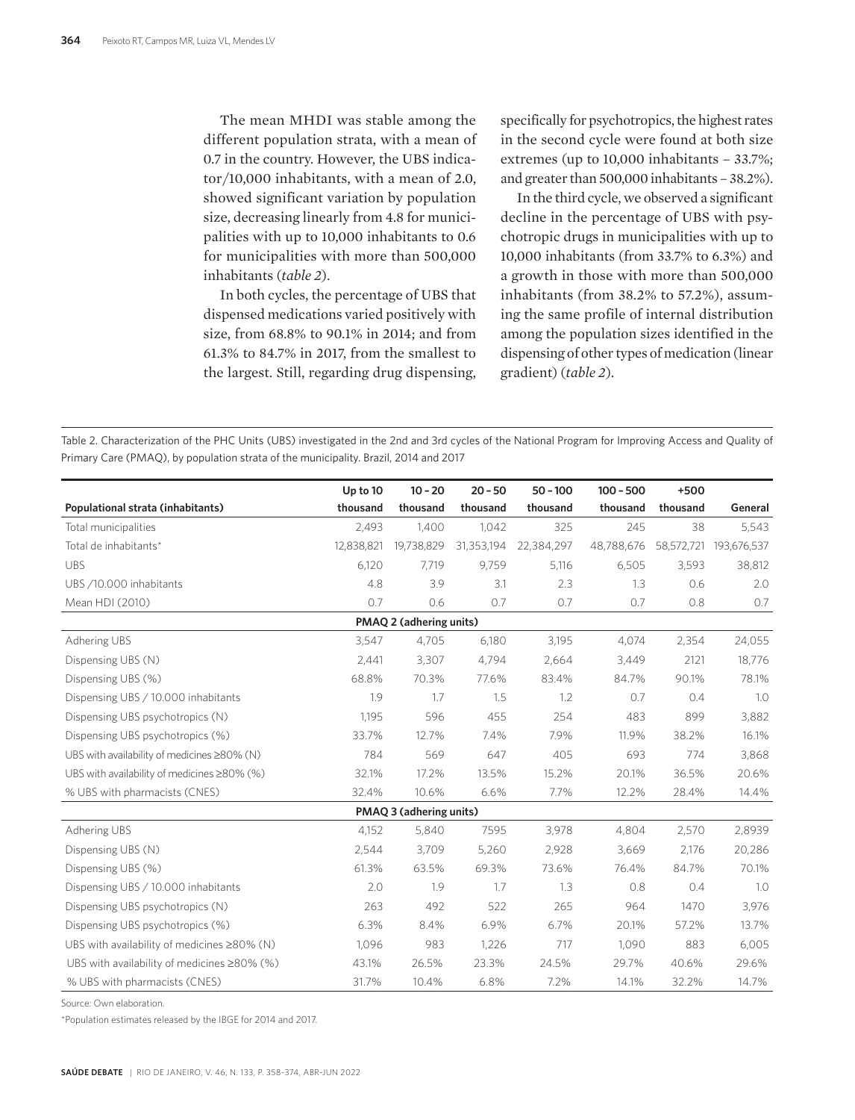The mean MHDI was stable among the different population strata, with a mean of 0.7 in the country. However, the UBS indicator/10,000 inhabitants, with a mean of 2.0, showed significant variation by population size, decreasing linearly from 4.8 for municipalities with up to 10,000 inhabitants to 0.6 for municipalities with more than 500,000 inhabitants (*table 2*).

In both cycles, the percentage of UBS that dispensed medications varied positively with size, from 68.8% to 90.1% in 2014; and from 61.3% to 84.7% in 2017, from the smallest to the largest. Still, regarding drug dispensing,

specifically for psychotropics, the highest rates in the second cycle were found at both size extremes (up to 10,000 inhabitants – 33.7%; and greater than 500,000 inhabitants – 38.2%).

In the third cycle, we observed a significant decline in the percentage of UBS with psychotropic drugs in municipalities with up to 10,000 inhabitants (from 33.7% to 6.3%) and a growth in those with more than 500,000 inhabitants (from 38.2% to 57.2%), assuming the same profile of internal distribution among the population sizes identified in the dispensing of other types of medication (linear gradient) (*table 2*).

Table 2. Characterization of the PHC Units (UBS) investigated in the 2nd and 3rd cycles of the National Program for Improving Access and Quality of Primary Care (PMAQ), by population strata of the municipality. Brazil, 2014 and 2017

|                                                    | Up to 10   | $10 - 20$               | $20 - 50$  | $50 - 100$ | $100 - 500$ | $+500$     |             |
|----------------------------------------------------|------------|-------------------------|------------|------------|-------------|------------|-------------|
| Populational strata (inhabitants)                  | thousand   | thousand                | thousand   | thousand   | thousand    | thousand   | General     |
| Total municipalities                               | 2,493      | 1,400                   | 1,042      | 325        | 245         | 38         | 5,543       |
| Total de inhabitants*                              | 12.838.821 | 19,738,829              | 31,353,194 | 22,384,297 | 48,788,676  | 58,572,721 | 193,676,537 |
| <b>UBS</b>                                         | 6,120      | 7,719                   | 9,759      | 5,116      | 6,505       | 3,593      | 38,812      |
| UBS /10.000 inhabitants                            | 4.8        | 3.9                     | 3.1        | 2.3        | 1.3         | 0.6        | 2.0         |
| Mean HDI (2010)                                    | 0.7        | 0.6                     | 0.7        | 0.7        | 0.7         | 0.8        | 0.7         |
|                                                    |            | PMAQ 2 (adhering units) |            |            |             |            |             |
| Adhering UBS                                       | 3,547      | 4,705                   | 6,180      | 3,195      | 4,074       | 2,354      | 24,055      |
| Dispensing UBS (N)                                 | 2,441      | 3,307                   | 4,794      | 2,664      | 3,449       | 2121       | 18,776      |
| Dispensing UBS (%)                                 | 68.8%      | 70.3%                   | 77.6%      | 83.4%      | 84.7%       | 90.1%      | 78.1%       |
| Dispensing UBS / 10.000 inhabitants                | 1.9        | 1.7                     | 1.5        | 1.2        | 0.7         | 0.4        | 1.0         |
| Dispensing UBS psychotropics (N)                   | 1.195      | 596                     | 455        | 254        | 483         | 899        | 3,882       |
| Dispensing UBS psychotropics (%)                   | 33.7%      | 12.7%                   | 7.4%       | 7.9%       | 11.9%       | 38.2%      | 16.1%       |
| UBS with availability of medicines ≥80% (N)        | 784        | 569                     | 647        | 405        | 693         | 774        | 3,868       |
| UBS with availability of medicines ≥80% (%)        | 32.1%      | 17.2%                   | 13.5%      | 15.2%      | 20.1%       | 36.5%      | 20.6%       |
| % UBS with pharmacists (CNES)                      | 32.4%      | 10.6%                   | 6.6%       | 7.7%       | 12.2%       | 28.4%      | 14.4%       |
|                                                    |            | PMAQ 3 (adhering units) |            |            |             |            |             |
| Adhering UBS                                       | 4,152      | 5,840                   | 7595       | 3,978      | 4,804       | 2,570      | 2,8939      |
| Dispensing UBS (N)                                 | 2,544      | 3,709                   | 5,260      | 2,928      | 3,669       | 2,176      | 20,286      |
| Dispensing UBS (%)                                 | 61.3%      | 63.5%                   | 69.3%      | 73.6%      | 76.4%       | 84.7%      | 70.1%       |
| Dispensing UBS / 10.000 inhabitants                | 2.0        | 1.9                     | 1.7        | 1.3        | 0.8         | 0.4        | 1.0         |
| Dispensing UBS psychotropics (N)                   | 263        | 492                     | 522        | 265        | 964         | 1470       | 3,976       |
| Dispensing UBS psychotropics (%)                   | 6.3%       | 8.4%                    | 6.9%       | 6.7%       | 20.1%       | 57.2%      | 13.7%       |
| UBS with availability of medicines ≥80% (N)        | 1,096      | 983                     | 1,226      | 717        | 1,090       | 883        | 6,005       |
| UBS with availability of medicines $\geq 80\%$ (%) | 43.1%      | 26.5%                   | 23.3%      | 24.5%      | 29.7%       | 40.6%      | 29.6%       |
| % UBS with pharmacists (CNES)                      | 31.7%      | 10.4%                   | 6.8%       | 7.2%       | 14.1%       | 32.2%      | 14.7%       |

Source: Own elaboration.

\*Population estimates released by the IBGE for 2014 and 2017.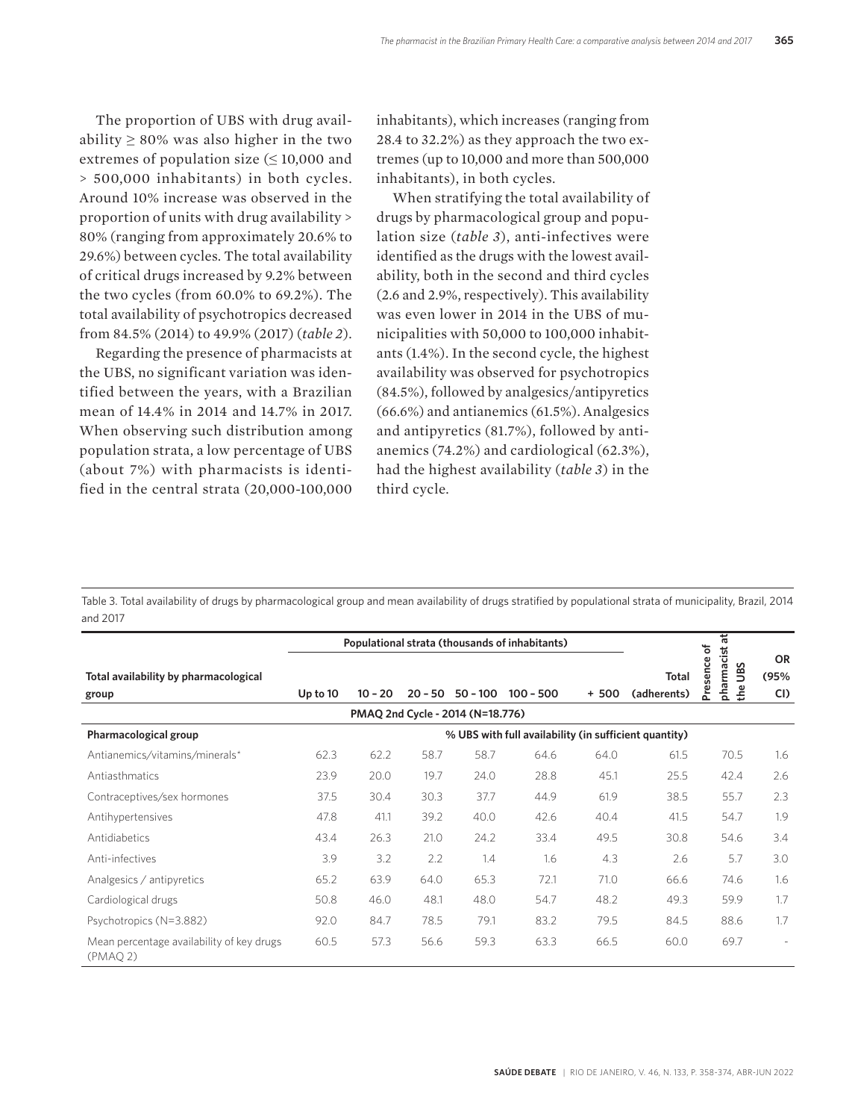The proportion of UBS with drug availability  $\geq 80\%$  was also higher in the two extremes of population size (≤ 10,000 and > 500,000 inhabitants) in both cycles. Around 10% increase was observed in the proportion of units with drug availability > 80% (ranging from approximately 20.6% to 29.6%) between cycles. The total availability of critical drugs increased by 9.2% between the two cycles (from 60.0% to 69.2%). The total availability of psychotropics decreased from 84.5% (2014) to 49.9% (2017) (*table 2*).

Regarding the presence of pharmacists at the UBS, no significant variation was identified between the years, with a Brazilian mean of 14.4% in 2014 and 14.7% in 2017. When observing such distribution among population strata, a low percentage of UBS (about 7%) with pharmacists is identified in the central strata (20,000-100,000

inhabitants), which increases (ranging from 28.4 to 32.2%) as they approach the two extremes (up to 10,000 and more than 500,000 inhabitants), in both cycles.

When stratifying the total availability of drugs by pharmacological group and population size (*table 3*), anti-infectives were identified as the drugs with the lowest availability, both in the second and third cycles (2.6 and 2.9%, respectively). This availability was even lower in 2014 in the UBS of municipalities with 50,000 to 100,000 inhabitants (1.4%). In the second cycle, the highest availability was observed for psychotropics (84.5%), followed by analgesics/antipyretics (66.6%) and antianemics (61.5%). Analgesics and antipyretics (81.7%), followed by antianemics (74.2%) and cardiological (62.3%), had the highest availability (*table 3*) in the third cycle.

Table 3. Total availability of drugs by pharmacological group and mean availability of drugs stratified by populational strata of municipality, Brazil, 2014 and 2017

|                                                      |          |           |           |                                  | Populational strata (thousands of inhabitants) |         |                                                       | 玉<br>$\overline{\mathbf{c}}$            |                          |
|------------------------------------------------------|----------|-----------|-----------|----------------------------------|------------------------------------------------|---------|-------------------------------------------------------|-----------------------------------------|--------------------------|
| Total availability by pharmacological<br>group       | Up to 10 | $10 - 20$ | $20 - 50$ | $50 - 100$                       | $100 - 500$                                    | $+ 500$ | Total<br>(adherents)                                  | pharmacist<br>Presence<br>S<br>ğ<br>the | <b>OR</b><br>(95%<br>CI  |
|                                                      |          |           |           | PMAQ 2nd Cycle - 2014 (N=18.776) |                                                |         |                                                       |                                         |                          |
| Pharmacological group                                |          |           |           |                                  |                                                |         | % UBS with full availability (in sufficient quantity) |                                         |                          |
| Antianemics/vitamins/minerals*                       | 62.3     | 62.2      | 58.7      | 58.7                             | 64.6                                           | 64.0    | 61.5                                                  | 70.5                                    | 1.6                      |
| Antiasthmatics                                       | 23.9     | 20.0      | 19.7      | 24.0                             | 28.8                                           | 45.1    | 25.5                                                  | 42.4                                    | 2.6                      |
| Contraceptives/sex hormones                          | 37.5     | 30.4      | 30.3      | 37.7                             | 44.9                                           | 61.9    | 38.5                                                  | 55.7                                    | 2.3                      |
| Antihypertensives                                    | 47.8     | 41.1      | 39.2      | 40.0                             | 42.6                                           | 40.4    | 41.5                                                  | 54.7                                    | 1.9                      |
| Antidiabetics                                        | 43.4     | 26.3      | 21.0      | 24.2                             | 33.4                                           | 49.5    | 30.8                                                  | 54.6                                    | 3.4                      |
| Anti-infectives                                      | 3.9      | 3.2       | 2.2       | 1.4                              | 1.6                                            | 4.3     | 2.6                                                   | 5.7                                     | 3.0                      |
| Analgesics / antipyretics                            | 65.2     | 63.9      | 64.0      | 65.3                             | 72.1                                           | 71.0    | 66.6                                                  | 74.6                                    | 1.6                      |
| Cardiological drugs                                  | 50.8     | 46.0      | 48.1      | 48.0                             | 54.7                                           | 48.2    | 49.3                                                  | 59.9                                    | 1.7                      |
| Psychotropics (N=3.882)                              | 92.0     | 84.7      | 78.5      | 79.1                             | 83.2                                           | 79.5    | 84.5                                                  | 88.6                                    | 1.7                      |
| Mean percentage availability of key drugs<br>(PMAQ2) | 60.5     | 57.3      | 56.6      | 59.3                             | 63.3                                           | 66.5    | 60.0                                                  | 69.7                                    | $\overline{\phantom{a}}$ |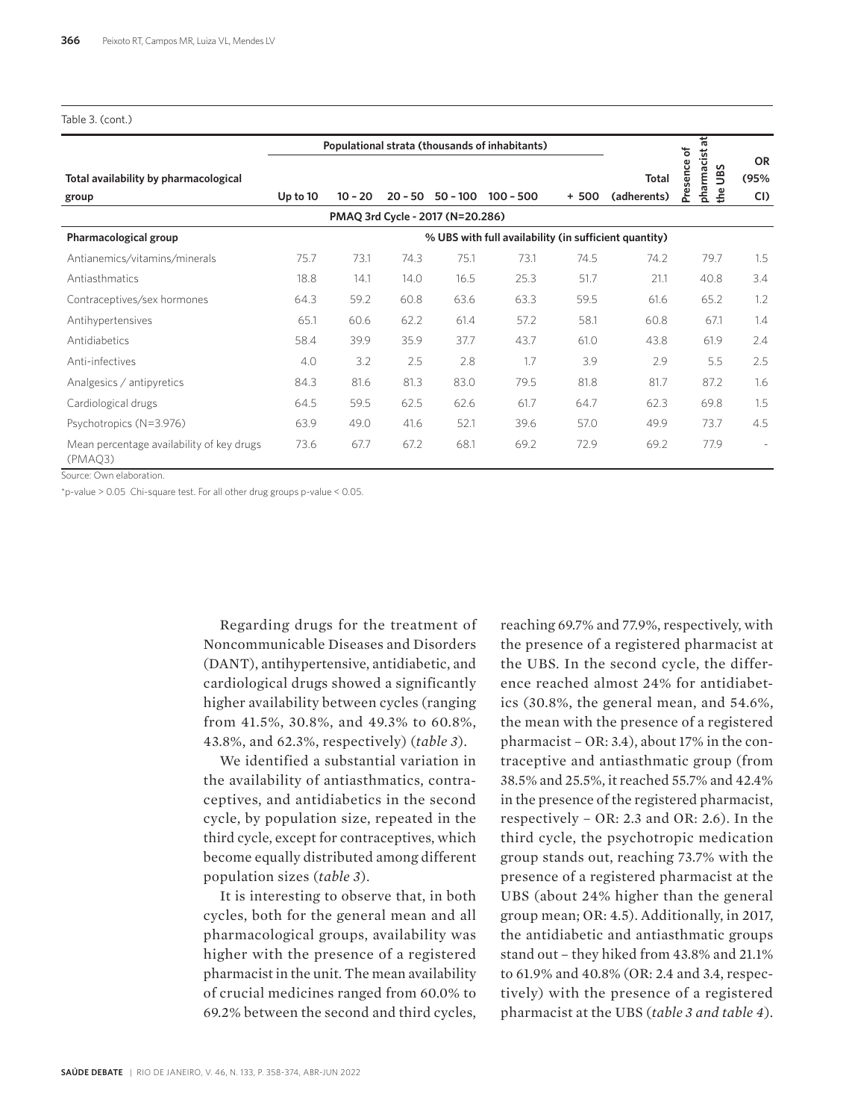#### Table 3. (cont.)

|                                                      |          |           |           |                                  | Populational strata (thousands of inhabitants) |        |                                                       | 玉                                                               |                          |
|------------------------------------------------------|----------|-----------|-----------|----------------------------------|------------------------------------------------|--------|-------------------------------------------------------|-----------------------------------------------------------------|--------------------------|
| Total availability by pharmacological<br>group       | Up to 10 | $10 - 20$ | $20 - 50$ | $50 - 100$                       | $100 - 500$                                    | $+500$ | Total<br>(adherents)                                  | sence of<br>pharmacist<br>S<br>Š<br>$\frac{e}{\hbar}$<br>ة<br>ح | <b>OR</b><br>(95%<br>CI) |
|                                                      |          |           |           | PMAQ 3rd Cycle - 2017 (N=20.286) |                                                |        |                                                       |                                                                 |                          |
| Pharmacological group                                |          |           |           |                                  |                                                |        | % UBS with full availability (in sufficient quantity) |                                                                 |                          |
| Antianemics/vitamins/minerals                        | 75.7     | 73.1      | 74.3      | 75.1                             | 73.1                                           | 74.5   | 74.2                                                  | 79.7                                                            | 1.5                      |
| Antiasthmatics                                       | 18.8     | 14.1      | 14.0      | 16.5                             | 25.3                                           | 51.7   | 21.1                                                  | 40.8                                                            | 3.4                      |
| Contraceptives/sex hormones                          | 64.3     | 59.2      | 60.8      | 63.6                             | 63.3                                           | 59.5   | 61.6                                                  | 65.2                                                            | 1.2                      |
| Antihypertensives                                    | 65.1     | 60.6      | 62.2      | 61.4                             | 57.2                                           | 58.1   | 60.8                                                  | 67.1                                                            | 1.4                      |
| Antidiabetics                                        | 58.4     | 39.9      | 35.9      | 37.7                             | 43.7                                           | 61.0   | 43.8                                                  | 61.9                                                            | 2.4                      |
| Anti-infectives                                      | 4.0      | 3.2       | 2.5       | 2.8                              | 1.7                                            | 3.9    | 2.9                                                   | 5.5                                                             | 2.5                      |
| Analgesics / antipyretics                            | 84.3     | 81.6      | 81.3      | 83.0                             | 79.5                                           | 81.8   | 81.7                                                  | 87.2                                                            | 1.6                      |
| Cardiological drugs                                  | 64.5     | 59.5      | 62.5      | 62.6                             | 61.7                                           | 64.7   | 62.3                                                  | 69.8                                                            | 1.5                      |
| Psychotropics (N=3.976)                              | 63.9     | 49.0      | 41.6      | 52.1                             | 39.6                                           | 57.0   | 49.9                                                  | 73.7                                                            | 4.5                      |
| Mean percentage availability of key drugs<br>(PMAO3) | 73.6     | 67.7      | 67.2      | 68.1                             | 69.2                                           | 72.9   | 69.2                                                  | 77.9                                                            |                          |

Source: Own elaboration.

\*p-value > 0.05 Chi-square test. For all other drug groups p-value < 0.05.

Regarding drugs for the treatment of Noncommunicable Diseases and Disorders (DANT), antihypertensive, antidiabetic, and cardiological drugs showed a significantly higher availability between cycles (ranging from 41.5%, 30.8%, and 49.3% to 60.8%, 43.8%, and 62.3%, respectively) (*table 3*).

We identified a substantial variation in the availability of antiasthmatics, contraceptives, and antidiabetics in the second cycle, by population size, repeated in the third cycle, except for contraceptives, which become equally distributed among different population sizes (*table 3*).

It is interesting to observe that, in both cycles, both for the general mean and all pharmacological groups, availability was higher with the presence of a registered pharmacist in the unit. The mean availability of crucial medicines ranged from 60.0% to 69.2% between the second and third cycles,

reaching 69.7% and 77.9%, respectively, with the presence of a registered pharmacist at the UBS. In the second cycle, the difference reached almost 24% for antidiabetics (30.8%, the general mean, and 54.6%, the mean with the presence of a registered pharmacist – OR: 3.4), about 17% in the contraceptive and antiasthmatic group (from 38.5% and 25.5%, it reached 55.7% and 42.4% in the presence of the registered pharmacist, respectively – OR: 2.3 and OR: 2.6). In the third cycle, the psychotropic medication group stands out, reaching 73.7% with the presence of a registered pharmacist at the UBS (about 24% higher than the general group mean; OR: 4.5). Additionally, in 2017, the antidiabetic and antiasthmatic groups stand out – they hiked from 43.8% and 21.1% to 61.9% and 40.8% (OR: 2.4 and 3.4, respectively) with the presence of a registered pharmacist at the UBS (*table 3 and table 4*).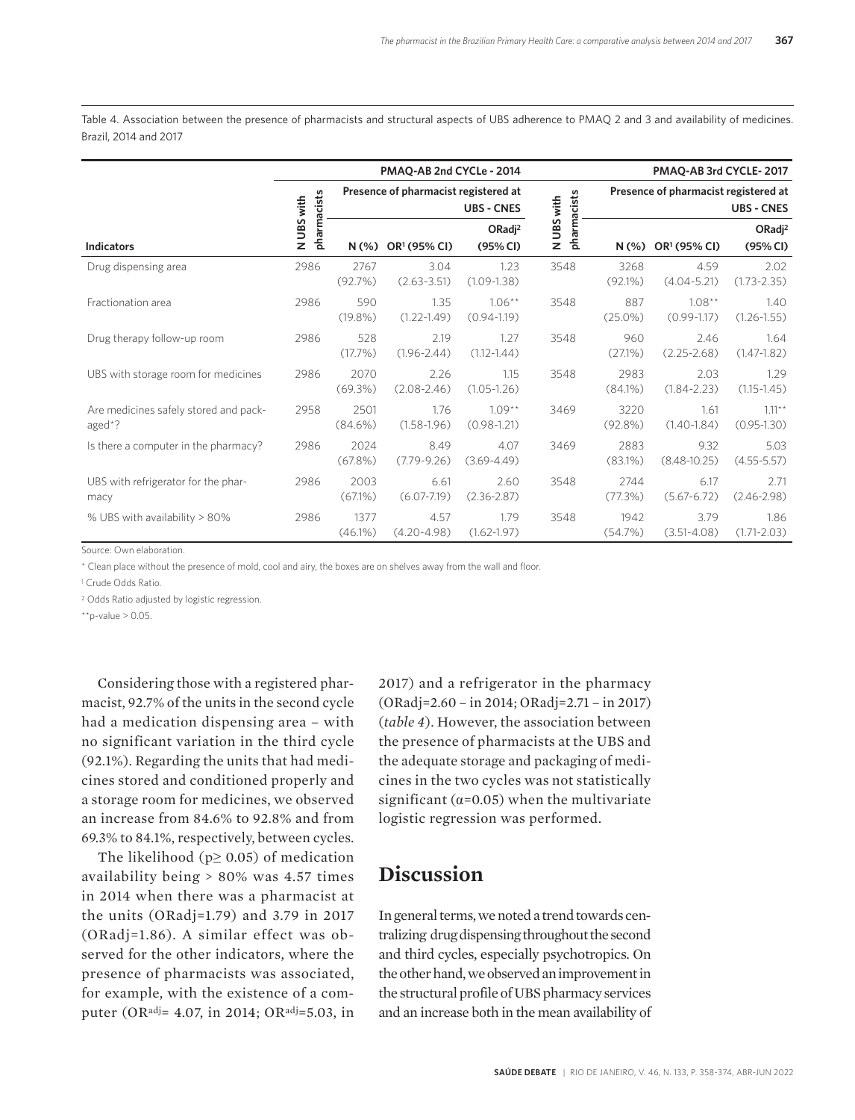Table 4. Association between the presence of pharmacists and structural aspects of UBS adherence to PMAQ 2 and 3 and availability of medicines. Brazil, 2014 and 2017

|                                                 |                           | PMAQ-AB 2nd CYCLe - 2014 |                                      |                                |                           |                    |                                      | PMAQ-AB 3rd CYCLE-2017         |  |  |  |
|-------------------------------------------------|---------------------------|--------------------------|--------------------------------------|--------------------------------|---------------------------|--------------------|--------------------------------------|--------------------------------|--|--|--|
|                                                 |                           |                          | Presence of pharmacist registered at | <b>UBS - CNES</b>              |                           |                    | Presence of pharmacist registered at | <b>UBS - CNES</b>              |  |  |  |
| <b>Indicators</b>                               | pharmacists<br>N UBS with | $N(\%)$                  | OR <sup>1</sup> (95% CI)             | ORadj <sup>2</sup><br>(95% CI) | pharmacists<br>N UBS with | $N(\%)$            | OR1 (95% CI)                         | ORadj <sup>2</sup><br>(95% CI) |  |  |  |
| Drug dispensing area                            | 2986                      | 2767<br>(92.7%)          | 3.04<br>$(2.63 - 3.51)$              | 1.23<br>$(1.09 - 1.38)$        | 3548                      | 3268<br>$(92.1\%)$ | 4.59<br>$(4.04 - 5.21)$              | 2.02<br>$(1.73 - 2.35)$        |  |  |  |
| Fractionation area                              | 2986                      | 590<br>$(19.8\%)$        | 1.35<br>$(1.22 - 1.49)$              | $1.06***$<br>$(0.94 - 1.19)$   | 3548                      | 887<br>$(25.0\%)$  | $1.08***$<br>$(0.99 - 1.17)$         | 1.40<br>$(1.26 - 1.55)$        |  |  |  |
| Drug therapy follow-up room                     | 2986                      | 528<br>(17.7%)           | 2.19<br>$(1.96 - 2.44)$              | 1.27<br>$(1.12 - 1.44)$        | 3548                      | 960<br>$(27.1\%)$  | 2.46<br>$(2.25 - 2.68)$              | 1.64<br>$(1.47 - 1.82)$        |  |  |  |
| UBS with storage room for medicines             | 2986                      | 2070<br>(69.3%)          | 2.26<br>$(2.08 - 2.46)$              | 1.15<br>$(1.05 - 1.26)$        | 3548                      | 2983<br>(84.1%)    | 2.03<br>$(1.84 - 2.23)$              | 1.29<br>$(1.15 - 1.45)$        |  |  |  |
| Are medicines safely stored and pack-<br>aged*? | 2958                      | 2501<br>$(84.6\%)$       | 1.76<br>$(1.58 - 1.96)$              | $1.09***$<br>$(0.98 - 1.21)$   | 3469                      | 3220<br>$(92.8\%)$ | 1.61<br>$(1.40 - 1.84)$              | $1.11***$<br>$(0.95 - 1.30)$   |  |  |  |
| Is there a computer in the pharmacy?            | 2986                      | 2024<br>$(67.8\%)$       | 8.49<br>$(7.79-9.26)$                | 4.07<br>$(3.69 - 4.49)$        | 3469                      | 2883<br>$(83.1\%)$ | 9.32<br>$(8.48 - 10.25)$             | 5.03<br>$(4.55 - 5.57)$        |  |  |  |
| UBS with refrigerator for the phar-<br>macy     | 2986                      | 2003<br>$(67.1\%)$       | 6.61<br>$(6.07 - 7.19)$              | 2.60<br>$(2.36 - 2.87)$        | 3548                      | 2744<br>(77.3%)    | 6.17<br>$(5.67 - 6.72)$              | 2.71<br>$(2.46 - 2.98)$        |  |  |  |
| % UBS with availability > 80%                   | 2986                      | 1377<br>$(46.1\%)$       | 4.57<br>$(4.20 - 4.98)$              | 1.79<br>$(1.62 - 1.97)$        | 3548                      | 1942<br>(54.7%)    | 3.79<br>$(3.51 - 4.08)$              | 1.86<br>$(1.71 - 2.03)$        |  |  |  |

Source: Own elaboration.

\* Clean place without the presence of mold, cool and airy, the boxes are on shelves away from the wall and floor.

1 Crude Odds Ratio.

2 Odds Ratio adjusted by logistic regression.

 $*$ \*p-value > 0.05.

Considering those with a registered pharmacist, 92.7% of the units in the second cycle had a medication dispensing area – with no significant variation in the third cycle (92.1%). Regarding the units that had medicines stored and conditioned properly and a storage room for medicines, we observed an increase from 84.6% to 92.8% and from 69.3% to 84.1%, respectively, between cycles.

The likelihood ( $p \ge 0.05$ ) of medication availability being > 80% was 4.57 times in 2014 when there was a pharmacist at the units (ORadj=1.79) and 3.79 in 2017 (ORadj=1.86). A similar effect was observed for the other indicators, where the presence of pharmacists was associated, for example, with the existence of a computer (ORadj= 4.07, in 2014; ORadj=5.03, in

2017) and a refrigerator in the pharmacy (ORadj=2.60 – in 2014; ORadj=2.71 – in 2017) (*table 4*). However, the association between the presence of pharmacists at the UBS and the adequate storage and packaging of medicines in the two cycles was not statistically significant ( $\alpha$ =0.05) when the multivariate logistic regression was performed.

#### **Discussion**

In general terms, we noted a trend towards centralizing drug dispensing throughout the second and third cycles, especially psychotropics. On the other hand, we observed an improvement in the structural profile of UBS pharmacy services and an increase both in the mean availability of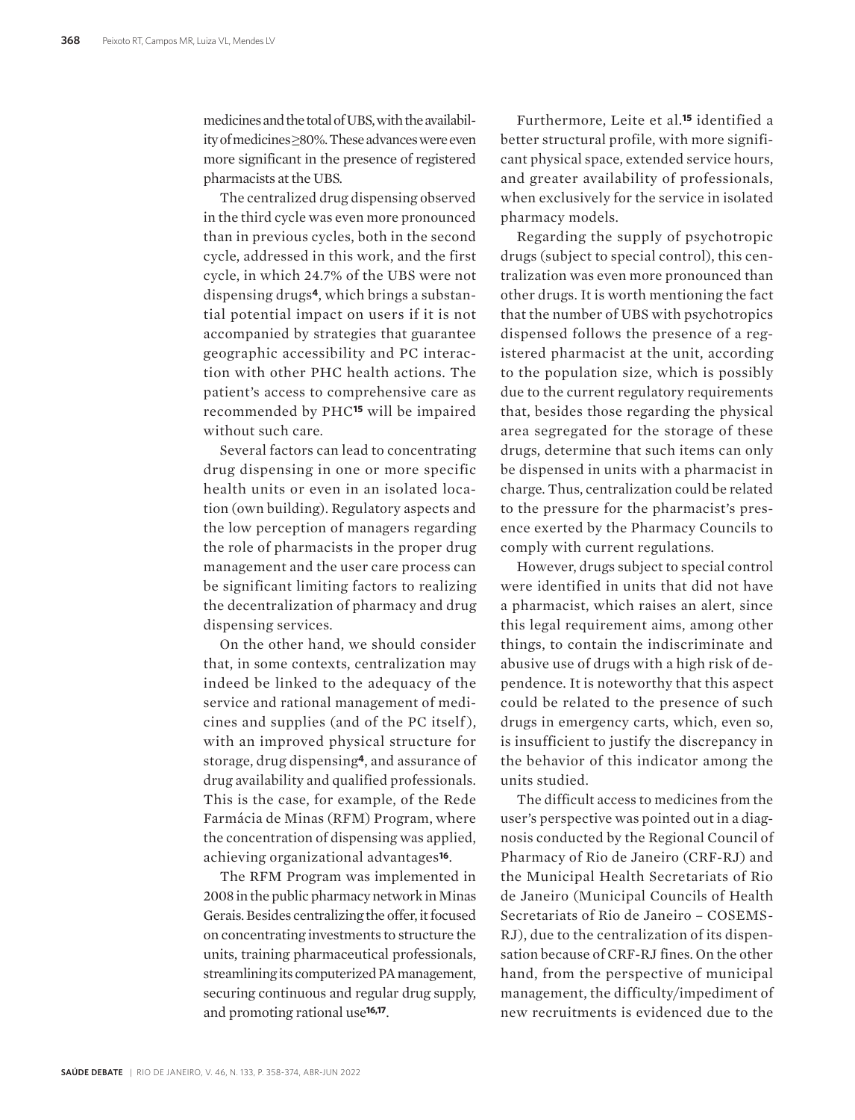medicines and the total of UBS, with the availability of medicines ≥80%. These advances were even more significant in the presence of registered pharmacists at the UBS.

The centralized drug dispensing observed in the third cycle was even more pronounced than in previous cycles, both in the second cycle, addressed in this work, and the first cycle, in which 24.7% of the UBS were not dispensing drugs**4**, which brings a substantial potential impact on users if it is not accompanied by strategies that guarantee geographic accessibility and PC interaction with other PHC health actions. The patient's access to comprehensive care as recommended by PHC**15** will be impaired without such care.

Several factors can lead to concentrating drug dispensing in one or more specific health units or even in an isolated location (own building). Regulatory aspects and the low perception of managers regarding the role of pharmacists in the proper drug management and the user care process can be significant limiting factors to realizing the decentralization of pharmacy and drug dispensing services.

On the other hand, we should consider that, in some contexts, centralization may indeed be linked to the adequacy of the service and rational management of medicines and supplies (and of the PC itself ), with an improved physical structure for storage, drug dispensing**4**, and assurance of drug availability and qualified professionals. This is the case, for example, of the Rede Farmácia de Minas (RFM) Program, where the concentration of dispensing was applied, achieving organizational advantages**16**.

The RFM Program was implemented in 2008 in the public pharmacy network in Minas Gerais. Besides centralizing the offer, it focused on concentrating investments to structure the units, training pharmaceutical professionals, streamlining its computerized PA management, securing continuous and regular drug supply, and promoting rational use**16,17**.

Furthermore, Leite et al.**15** identified a better structural profile, with more significant physical space, extended service hours, and greater availability of professionals, when exclusively for the service in isolated pharmacy models.

Regarding the supply of psychotropic drugs (subject to special control), this centralization was even more pronounced than other drugs. It is worth mentioning the fact that the number of UBS with psychotropics dispensed follows the presence of a registered pharmacist at the unit, according to the population size, which is possibly due to the current regulatory requirements that, besides those regarding the physical area segregated for the storage of these drugs, determine that such items can only be dispensed in units with a pharmacist in charge. Thus, centralization could be related to the pressure for the pharmacist's presence exerted by the Pharmacy Councils to comply with current regulations.

However, drugs subject to special control were identified in units that did not have a pharmacist, which raises an alert, since this legal requirement aims, among other things, to contain the indiscriminate and abusive use of drugs with a high risk of dependence. It is noteworthy that this aspect could be related to the presence of such drugs in emergency carts, which, even so, is insufficient to justify the discrepancy in the behavior of this indicator among the units studied.

The difficult access to medicines from the user's perspective was pointed out in a diagnosis conducted by the Regional Council of Pharmacy of Rio de Janeiro (CRF-RJ) and the Municipal Health Secretariats of Rio de Janeiro (Municipal Councils of Health Secretariats of Rio de Janeiro – COSEMS-RJ), due to the centralization of its dispensation because of CRF-RJ fines. On the other hand, from the perspective of municipal management, the difficulty/impediment of new recruitments is evidenced due to the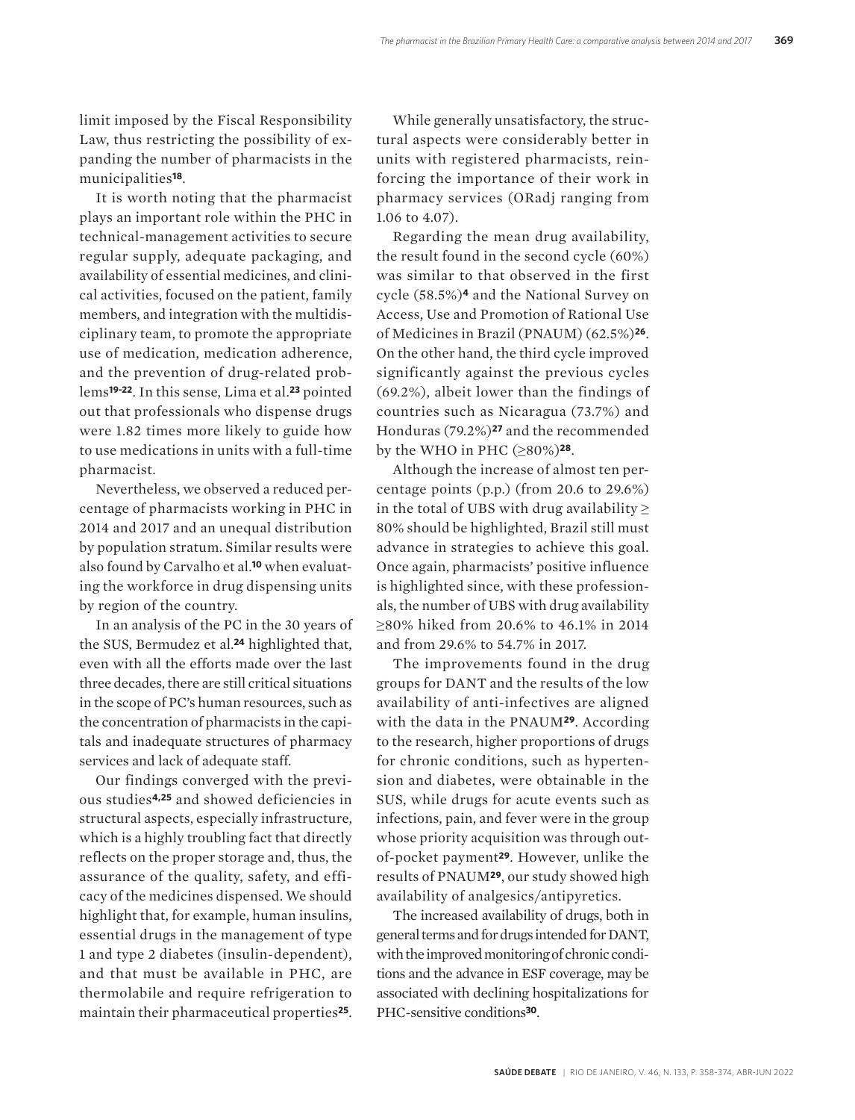limit imposed by the Fiscal Responsibility Law, thus restricting the possibility of expanding the number of pharmacists in the municipalities**18**.

It is worth noting that the pharmacist plays an important role within the PHC in technical-management activities to secure regular supply, adequate packaging, and availability of essential medicines, and clinical activities, focused on the patient, family members, and integration with the multidisciplinary team, to promote the appropriate use of medication, medication adherence, and the prevention of drug-related problems**19-22**. In this sense, Lima et al.**23** pointed out that professionals who dispense drugs were 1.82 times more likely to guide how to use medications in units with a full-time pharmacist.

Nevertheless, we observed a reduced percentage of pharmacists working in PHC in 2014 and 2017 and an unequal distribution by population stratum. Similar results were also found by Carvalho et al.**10** when evaluating the workforce in drug dispensing units by region of the country.

In an analysis of the PC in the 30 years of the SUS, Bermudez et al.**24** highlighted that, even with all the efforts made over the last three decades, there are still critical situations in the scope of PC's human resources, such as the concentration of pharmacists in the capitals and inadequate structures of pharmacy services and lack of adequate staff.

Our findings converged with the previous studies**4,25** and showed deficiencies in structural aspects, especially infrastructure, which is a highly troubling fact that directly reflects on the proper storage and, thus, the assurance of the quality, safety, and efficacy of the medicines dispensed. We should highlight that, for example, human insulins, essential drugs in the management of type 1 and type 2 diabetes (insulin-dependent), and that must be available in PHC, are thermolabile and require refrigeration to maintain their pharmaceutical properties**25**.

While generally unsatisfactory, the structural aspects were considerably better in units with registered pharmacists, reinforcing the importance of their work in pharmacy services (ORadj ranging from 1.06 to 4.07).

Regarding the mean drug availability, the result found in the second cycle (60%) was similar to that observed in the first cycle (58.5%)**4** and the National Survey on Access, Use and Promotion of Rational Use of Medicines in Brazil (PNAUM) (62.5%)**26**. On the other hand, the third cycle improved significantly against the previous cycles (69.2%), albeit lower than the findings of countries such as Nicaragua (73.7%) and Honduras (79.2%)**27** and the recommended by the WHO in PHC (≥80%)**28**.

Although the increase of almost ten percentage points (p.p.) (from 20.6 to 29.6%) in the total of UBS with drug availability  $\geq$ 80% should be highlighted, Brazil still must advance in strategies to achieve this goal. Once again, pharmacists' positive influence is highlighted since, with these professionals, the number of UBS with drug availability ≥80% hiked from 20.6% to 46.1% in 2014 and from 29.6% to 54.7% in 2017.

The improvements found in the drug groups for DANT and the results of the low availability of anti-infectives are aligned with the data in the PNAUM**29**. According to the research, higher proportions of drugs for chronic conditions, such as hypertension and diabetes, were obtainable in the SUS, while drugs for acute events such as infections, pain, and fever were in the group whose priority acquisition was through outof-pocket payment**29**. However, unlike the results of PNAUM**29**, our study showed high availability of analgesics/antipyretics.

The increased availability of drugs, both in general terms and for drugs intended for DANT, with the improved monitoring of chronic conditions and the advance in ESF coverage, may be associated with declining hospitalizations for PHC-sensitive conditions**30**.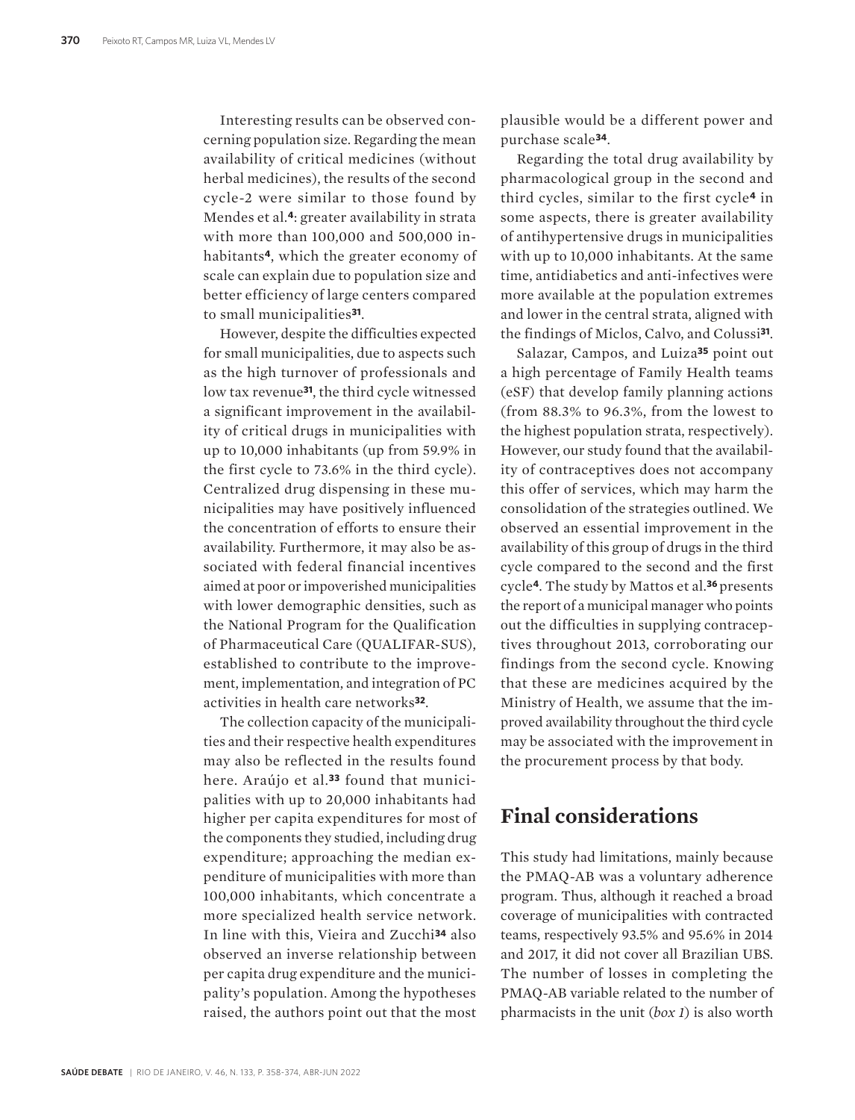Interesting results can be observed concerning population size. Regarding the mean availability of critical medicines (without herbal medicines), the results of the second cycle-2 were similar to those found by Mendes et al.**4**: greater availability in strata with more than 100,000 and 500,000 inhabitants**4**, which the greater economy of scale can explain due to population size and better efficiency of large centers compared to small municipalities**31**.

However, despite the difficulties expected for small municipalities, due to aspects such as the high turnover of professionals and low tax revenue**31**, the third cycle witnessed a significant improvement in the availability of critical drugs in municipalities with up to 10,000 inhabitants (up from 59.9% in the first cycle to 73.6% in the third cycle). Centralized drug dispensing in these municipalities may have positively influenced the concentration of efforts to ensure their availability. Furthermore, it may also be associated with federal financial incentives aimed at poor or impoverished municipalities with lower demographic densities, such as the National Program for the Qualification of Pharmaceutical Care (QUALIFAR-SUS), established to contribute to the improvement, implementation, and integration of PC activities in health care networks**32**.

The collection capacity of the municipalities and their respective health expenditures may also be reflected in the results found here. Araújo et al.**33** found that municipalities with up to 20,000 inhabitants had higher per capita expenditures for most of the components they studied, including drug expenditure; approaching the median expenditure of municipalities with more than 100,000 inhabitants, which concentrate a more specialized health service network. In line with this, Vieira and Zucchi**34** also observed an inverse relationship between per capita drug expenditure and the municipality's population. Among the hypotheses raised, the authors point out that the most

plausible would be a different power and purchase scale**34**.

Regarding the total drug availability by pharmacological group in the second and third cycles, similar to the first cycle**4** in some aspects, there is greater availability of antihypertensive drugs in municipalities with up to 10,000 inhabitants. At the same time, antidiabetics and anti-infectives were more available at the population extremes and lower in the central strata, aligned with the findings of Miclos, Calvo, and Colussi**31**.

Salazar, Campos, and Luiza**35** point out a high percentage of Family Health teams (eSF) that develop family planning actions (from 88.3% to 96.3%, from the lowest to the highest population strata, respectively). However, our study found that the availability of contraceptives does not accompany this offer of services, which may harm the consolidation of the strategies outlined. We observed an essential improvement in the availability of this group of drugs in the third cycle compared to the second and the first cycle**4**. The study by Mattos et al.**36** presents the report of a municipal manager who points out the difficulties in supplying contraceptives throughout 2013, corroborating our findings from the second cycle. Knowing that these are medicines acquired by the Ministry of Health, we assume that the improved availability throughout the third cycle may be associated with the improvement in the procurement process by that body.

## **Final considerations**

This study had limitations, mainly because the PMAQ-AB was a voluntary adherence program. Thus, although it reached a broad coverage of municipalities with contracted teams, respectively 93.5% and 95.6% in 2014 and 2017, it did not cover all Brazilian UBS. The number of losses in completing the PMAQ-AB variable related to the number of pharmacists in the unit (*box 1*) is also worth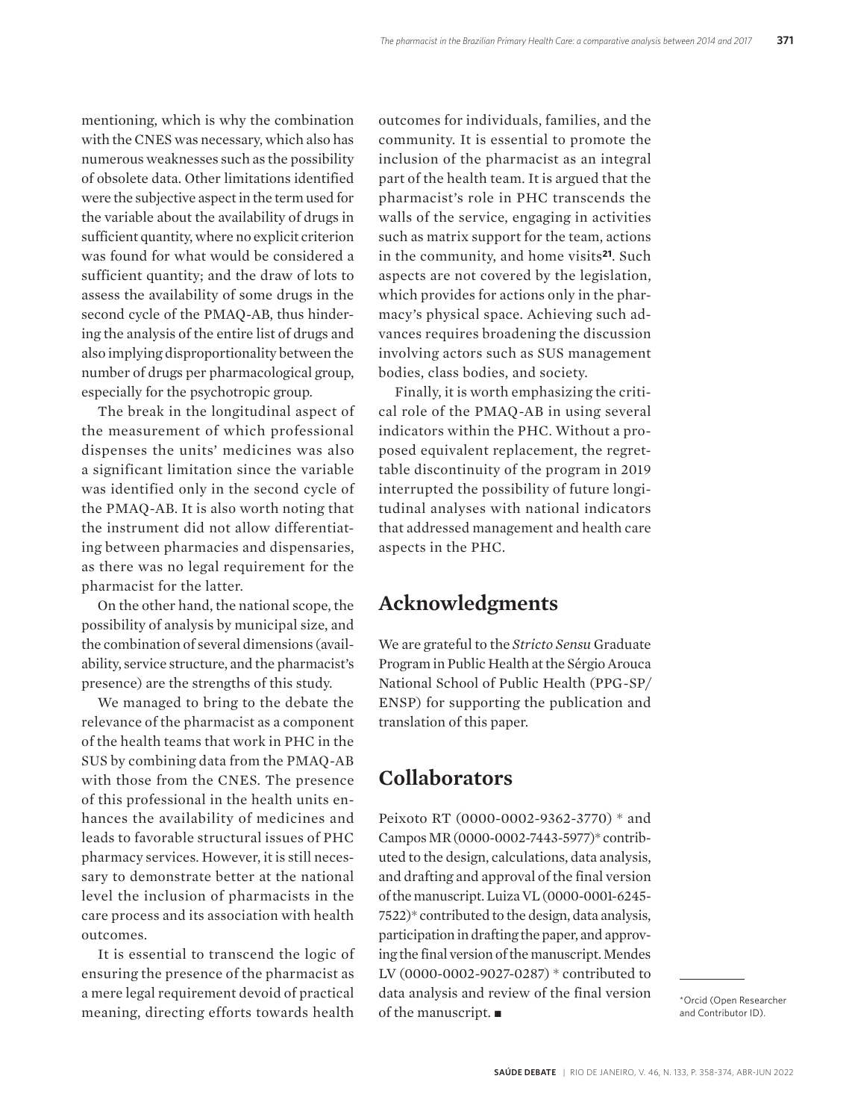mentioning, which is why the combination with the CNES was necessary, which also has numerous weaknesses such as the possibility of obsolete data. Other limitations identified were the subjective aspect in the term used for the variable about the availability of drugs in sufficient quantity, where no explicit criterion was found for what would be considered a sufficient quantity; and the draw of lots to assess the availability of some drugs in the second cycle of the PMAQ-AB, thus hindering the analysis of the entire list of drugs and also implying disproportionality between the number of drugs per pharmacological group, especially for the psychotropic group.

The break in the longitudinal aspect of the measurement of which professional dispenses the units' medicines was also a significant limitation since the variable was identified only in the second cycle of the PMAQ-AB. It is also worth noting that the instrument did not allow differentiating between pharmacies and dispensaries, as there was no legal requirement for the pharmacist for the latter.

On the other hand, the national scope, the possibility of analysis by municipal size, and the combination of several dimensions (availability, service structure, and the pharmacist's presence) are the strengths of this study.

We managed to bring to the debate the relevance of the pharmacist as a component of the health teams that work in PHC in the SUS by combining data from the PMAQ-AB with those from the CNES. The presence of this professional in the health units enhances the availability of medicines and leads to favorable structural issues of PHC pharmacy services. However, it is still necessary to demonstrate better at the national level the inclusion of pharmacists in the care process and its association with health outcomes.

It is essential to transcend the logic of ensuring the presence of the pharmacist as a mere legal requirement devoid of practical meaning, directing efforts towards health

outcomes for individuals, families, and the community. It is essential to promote the inclusion of the pharmacist as an integral part of the health team. It is argued that the pharmacist's role in PHC transcends the walls of the service, engaging in activities such as matrix support for the team, actions in the community, and home visits**21**. Such aspects are not covered by the legislation, which provides for actions only in the pharmacy's physical space. Achieving such advances requires broadening the discussion involving actors such as SUS management bodies, class bodies, and society.

Finally, it is worth emphasizing the critical role of the PMAQ-AB in using several indicators within the PHC. Without a proposed equivalent replacement, the regrettable discontinuity of the program in 2019 interrupted the possibility of future longitudinal analyses with national indicators that addressed management and health care aspects in the PHC.

#### **Acknowledgments**

We are grateful to the *Stricto Sensu* Graduate Program in Public Health at the Sérgio Arouca National School of Public Health (PPG-SP/ ENSP) for supporting the publication and translation of this paper.

## **Collaborators**

Peixoto RT (0000-0002-9362-3770) \* and Campos MR (0000-0002-7443-5977)\* contributed to the design, calculations, data analysis, and drafting and approval of the final version of the manuscript. Luiza VL (0000-0001-6245- 7522)\* contributed to the design, data analysis, participation in drafting the paper, and approving the final version of the manuscript. Mendes LV (0000-0002-9027-0287) \* contributed to data analysis and review of the final version of the manuscript.  $\blacksquare$ 

\*Orcid (Open Researcher and Contributor ID).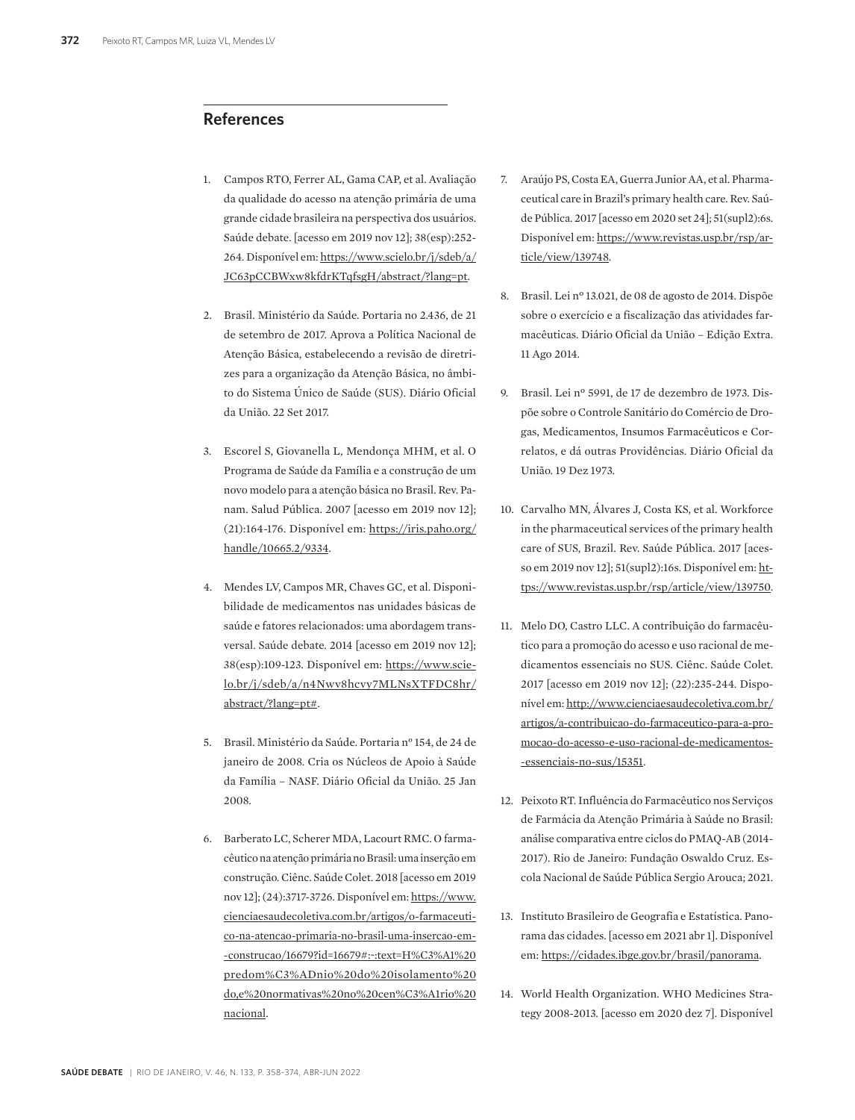#### **References**

- 1. Campos RTO, Ferrer AL, Gama CAP, et al. Avaliação da qualidade do acesso na atenção primária de uma grande cidade brasileira na perspectiva dos usuários. Saúde debate. [acesso em 2019 nov 12]; 38(esp):252- 264. Disponível em: https://www.scielo.br/j/sdeb/a/ JC63pCCBWxw8kfdrKTqfsgH/abstract/?lang=pt.
- 2. Brasil. Ministério da Saúde. Portaria no 2.436, de 21 de setembro de 2017. Aprova a Política Nacional de Atenção Básica, estabelecendo a revisão de diretrizes para a organização da Atenção Básica, no âmbito do Sistema Único de Saúde (SUS). Diário Oficial da União. 22 Set 2017.
- 3. Escorel S, Giovanella L, Mendonça MHM, et al. O Programa de Saúde da Família e a construção de um novo modelo para a atenção básica no Brasil. Rev. Panam. Salud Pública. 2007 [acesso em 2019 nov 12]; (21):164-176. Disponível em: https://iris.paho.org/ handle/10665.2/9334.
- 4. Mendes LV, Campos MR, Chaves GC, et al. Disponibilidade de medicamentos nas unidades básicas de saúde e fatores relacionados: uma abordagem transversal. Saúde debate. 2014 [acesso em 2019 nov 12]; 38(esp):109-123. Disponível em: https://www.scielo.br/j/sdeb/a/n4Nwv8hcvy7MLNsXTFDC8hr/ abstract/?lang=pt#.
- 5. Brasil. Ministério da Saúde. Portaria n° 154, de 24 de janeiro de 2008. Cria os Núcleos de Apoio à Saúde da Família – NASF. Diário Oficial da União. 25 Jan 2008.
- 6. Barberato LC, Scherer MDA, Lacourt RMC. O farmacêutico na atenção primária no Brasil: uma inserção em construção. Ciênc. Saúde Colet. 2018 [acesso em 2019 nov 12]; (24):3717-3726. Disponível em: https://www. cienciaesaudecoletiva.com.br/artigos/o-farmaceutico-na-atencao-primaria-no-brasil-uma-insercao-em- -construcao/16679?id=16679#:~:text=H%C3%A1%20 predom%C3%ADnio%20do%20isolamento%20 do,e%20normativas%20no%20cen%C3%A1rio%20 nacional.
- 7. Araújo PS, Costa EA, Guerra Junior AA, et al. Pharmaceutical care in Brazil's primary health care. Rev. Saúde Pública. 2017 [acesso em 2020 set 24]; 51(supl2):6s. Disponível em: https://www.revistas.usp.br/rsp/article/view/139748.
- 8. Brasil. Lei nº 13.021, de 08 de agosto de 2014. Dispõe sobre o exercício e a fiscalização das atividades farmacêuticas. Diário Oficial da União – Edição Extra. 11 Ago 2014.
- 9. Brasil. Lei nº 5991, de 17 de dezembro de 1973. Dispõe sobre o Controle Sanitário do Comércio de Drogas, Medicamentos, Insumos Farmacêuticos e Correlatos, e dá outras Providências. Diário Oficial da União. 19 Dez 1973.
- 10. Carvalho MN, Álvares J, Costa KS, et al. Workforce in the pharmaceutical services of the primary health care of SUS, Brazil. Rev. Saúde Pública. 2017 [acesso em 2019 nov 12]; 51(supl2):16s. Disponível em: https://www.revistas.usp.br/rsp/article/view/139750.
- 11. Melo DO, Castro LLC. A contribuição do farmacêutico para a promoção do acesso e uso racional de medicamentos essenciais no SUS. Ciênc. Saúde Colet. 2017 [acesso em 2019 nov 12]; (22):235-244. Disponível em: http://www.cienciaesaudecoletiva.com.br/ artigos/a-contribuicao-do-farmaceutico-para-a-promocao-do-acesso-e-uso-racional-de-medicamentos- -essenciais-no-sus/15351.
- 12. Peixoto RT. Influência do Farmacêutico nos Serviços de Farmácia da Atenção Primária à Saúde no Brasil: análise comparativa entre ciclos do PMAQ-AB (2014- 2017). Rio de Janeiro: Fundação Oswaldo Cruz. Escola Nacional de Saúde Pública Sergio Arouca; 2021.
- 13. Instituto Brasileiro de Geografia e Estatística. Panorama das cidades. [acesso em 2021 abr 1]. Disponível em: https://cidades.ibge.gov.br/brasil/panorama.
- 14. World Health Organization. WHO Medicines Strategy 2008-2013. [acesso em 2020 dez 7]. Disponível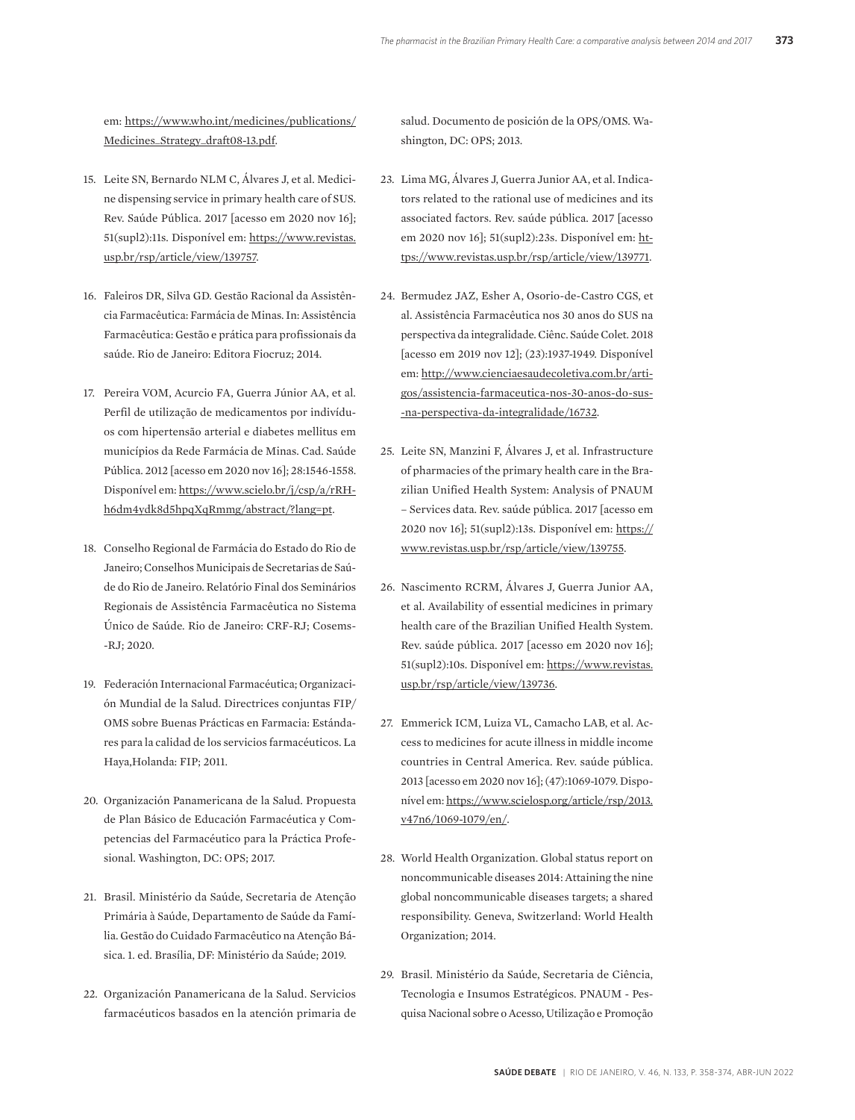em: https://www.who.int/medicines/publications/ Medicines\_Strategy\_draft08-13.pdf.

- 15. Leite SN, Bernardo NLM C, Álvares J, et al. Medicine dispensing service in primary health care of SUS. Rev. Saúde Pública. 2017 [acesso em 2020 nov 16]; 51(supl2):11s. Disponível em: https://www.revistas. usp.br/rsp/article/view/139757.
- 16. Faleiros DR, Silva GD. Gestão Racional da Assistência Farmacêutica: Farmácia de Minas. In: Assistência Farmacêutica: Gestão e prática para profissionais da saúde. Rio de Janeiro: Editora Fiocruz; 2014.
- 17. Pereira VOM, Acurcio FA, Guerra Júnior AA, et al. Perfil de utilização de medicamentos por indivíduos com hipertensão arterial e diabetes mellitus em municípios da Rede Farmácia de Minas. Cad. Saúde Pública. 2012 [acesso em 2020 nov 16]; 28:1546-1558. Disponível em: https://www.scielo.br/j/csp/a/rRHh6dm4ydk8d5hpqXqRmmg/abstract/?lang=pt.
- 18. Conselho Regional de Farmácia do Estado do Rio de Janeiro; Conselhos Municipais de Secretarias de Saúde do Rio de Janeiro. Relatório Final dos Seminários Regionais de Assistência Farmacêutica no Sistema Único de Saúde. Rio de Janeiro: CRF-RJ; Cosems- -RJ; 2020.
- 19. Federación Internacional Farmacéutica; Organización Mundial de la Salud. Directrices conjuntas FIP/ OMS sobre Buenas Prácticas en Farmacia: Estándares para la calidad de los servicios farmacéuticos. La Haya,Holanda: FIP; 2011.
- 20. Organización Panamericana de la Salud. Propuesta de Plan Básico de Educación Farmacéutica y Competencias del Farmacéutico para la Práctica Profesional. Washington, DC: OPS; 2017.
- 21. Brasil. Ministério da Saúde, Secretaria de Atenção Primária à Saúde, Departamento de Saúde da Família. Gestão do Cuidado Farmacêutico na Atenção Básica. 1. ed. Brasília, DF: Ministério da Saúde; 2019.
- 22. Organización Panamericana de la Salud. Servicios farmacéuticos basados en la atención primaria de

salud. Documento de posición de la OPS/OMS. Washington, DC: OPS; 2013.

- 23. Lima MG, Álvares J, Guerra Junior AA, et al. Indicators related to the rational use of medicines and its associated factors. Rev. saúde pública. 2017 [acesso em 2020 nov 16]; 51(supl2):23s. Disponível em: https://www.revistas.usp.br/rsp/article/view/139771.
- 24. Bermudez JAZ, Esher A, Osorio-de-Castro CGS, et al. Assistência Farmacêutica nos 30 anos do SUS na perspectiva da integralidade. Ciênc. Saúde Colet. 2018 [acesso em 2019 nov 12]; (23):1937-1949. Disponível em: http://www.cienciaesaudecoletiva.com.br/artigos/assistencia-farmaceutica-nos-30-anos-do-sus- -na-perspectiva-da-integralidade/16732.
- 25. Leite SN, Manzini F, Álvares J, et al. Infrastructure of pharmacies of the primary health care in the Brazilian Unified Health System: Analysis of PNAUM – Services data. Rev. saúde pública. 2017 [acesso em 2020 nov 16]; 51(supl2):13s. Disponível em: https:// www.revistas.usp.br/rsp/article/view/139755.
- 26. Nascimento RCRM, Álvares J, Guerra Junior AA, et al. Availability of essential medicines in primary health care of the Brazilian Unified Health System. Rev. saúde pública. 2017 [acesso em 2020 nov 16]; 51(supl2):10s. Disponível em: https://www.revistas. usp.br/rsp/article/view/139736.
- 27. Emmerick ICM, Luiza VL, Camacho LAB, et al. Access to medicines for acute illness in middle income countries in Central America. Rev. saúde pública. 2013 [acesso em 2020 nov 16]; (47):1069-1079. Disponível em: https://www.scielosp.org/article/rsp/2013. v47n6/1069-1079/en/.
- 28. World Health Organization. Global status report on noncommunicable diseases 2014: Attaining the nine global noncommunicable diseases targets; a shared responsibility. Geneva, Switzerland: World Health Organization; 2014.
- 29. Brasil. Ministério da Saúde, Secretaria de Ciência, Tecnologia e Insumos Estratégicos. PNAUM - Pesquisa Nacional sobre o Acesso, Utilização e Promoção